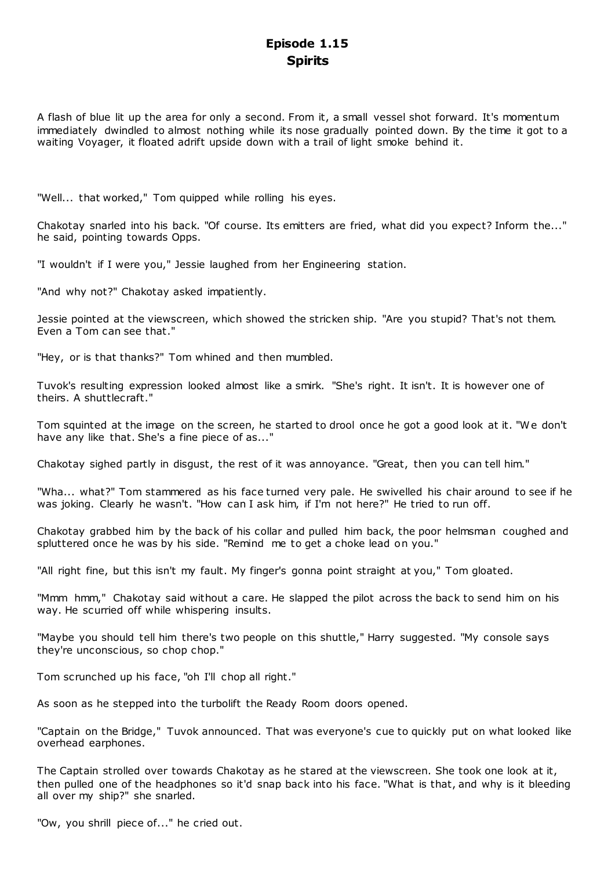# **Episode 1.15 Spirits**

A flash of blue lit up the area for only a second. From it, a small vessel shot forward. It's momentum immediately dwindled to almost nothing while its nose gradually pointed down. By the time it got to a waiting Voyager, it floated adrift upside down with a trail of light smoke behind it.

"Well... that worked," Tom quipped while rolling his eyes.

Chakotay snarled into his back. "Of course. Its emitters are fried, what did you expect? Inform the..." he said, pointing towards Opps.

"I wouldn't if I were you," Jessie laughed from her Engineering station.

"And why not?" Chakotay asked impatiently.

Jessie pointed at the viewscreen, which showed the stricken ship. "Are you stupid? That's not them. Even a Tom can see that."

"Hey, or is that thanks?" Tom whined and then mumbled.

Tuvok's resulting expression looked almost like a smirk. "She's right. It isn't. It is however one of theirs. A shuttlecraft."

Tom squinted at the image on the screen, he started to drool once he got a good look at it. "We don't have any like that. She's a fine piece of as..."

Chakotay sighed partly in disgust, the rest of it was annoyance. "Great, then you can tell him."

"Wha... what?" Tom stammered as his face turned very pale. He swivelled his chair around to see if he was joking. Clearly he wasn't. "How can I ask him, if I'm not here?" He tried to run off.

Chakotay grabbed him by the back of his collar and pulled him back, the poor helmsman coughed and spluttered once he was by his side. "Remind me to get a choke lead on you."

"All right fine, but this isn't my fault. My finger's gonna point straight at you," Tom gloated.

"Mmm hmm," Chakotay said without a care. He slapped the pilot across the back to send him on his way. He scurried off while whispering insults.

"Maybe you should tell him there's two people on this shuttle," Harry suggested. "My console says they're unconscious, so chop chop."

Tom scrunched up his face, "oh I'll chop all right."

As soon as he stepped into the turbolift the Ready Room doors opened.

"Captain on the Bridge," Tuvok announced. That was everyone's cue to quickly put on what looked like overhead earphones.

The Captain strolled over towards Chakotay as he stared at the viewscreen. She took one look at it, then pulled one of the headphones so it'd snap back into his face. "What is that, and why is it bleeding all over my ship?" she snarled.

"Ow, you shrill piece of..." he cried out.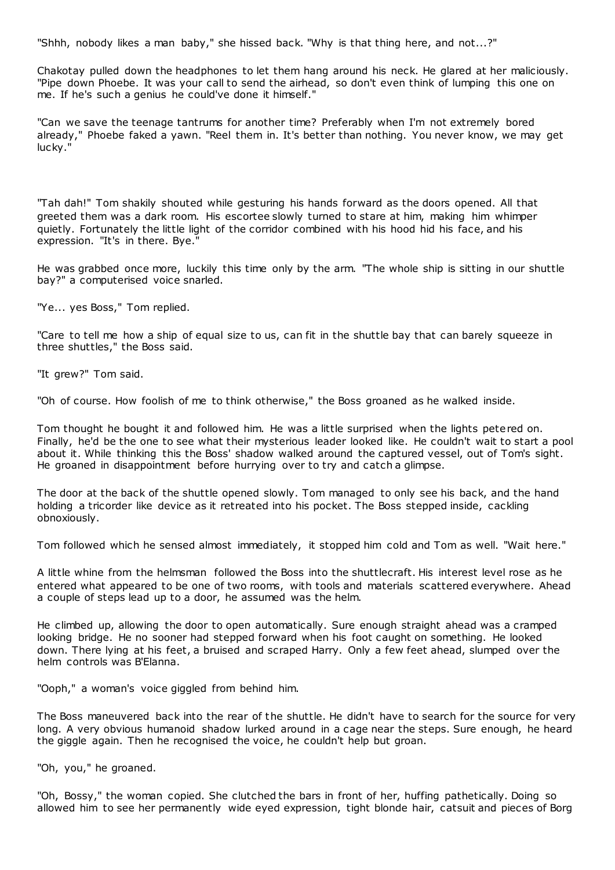"Shhh, nobody likes a man baby," she hissed back. "Why is that thing here, and not...?"

Chakotay pulled down the headphones to let them hang around his neck. He glared at her maliciously. "Pipe down Phoebe. It was your call to send the airhead, so don't even think of lumping this one on me. If he's such a genius he could've done it himself."

"Can we save the teenage tantrums for another time? Preferably when I'm not extremely bored already," Phoebe faked a yawn. "Reel them in. It's better than nothing. You never know, we may get lucky."

"Tah dah!" Tom shakily shouted while gesturing his hands forward as the doors opened. All that greeted them was a dark room. His escortee slowly turned to stare at him, making him whimper quietly. Fortunately the little light of the corridor combined with his hood hid his face, and his expression. "It's in there. Bye."

He was grabbed once more, luckily this time only by the arm. "The whole ship is sitting in our shuttle bay?" a computerised voice snarled.

"Ye... yes Boss," Tom replied.

"Care to tell me how a ship of equal size to us, can fit in the shuttle bay that can barely squeeze in three shuttles," the Boss said.

"It grew?" Tom said.

"Oh of course. How foolish of me to think otherwise," the Boss groaned as he walked inside.

Tom thought he bought it and followed him. He was a little surprised when the lights petered on. Finally, he'd be the one to see what their mysterious leader looked like. He couldn't wait to start a pool about it. While thinking this the Boss' shadow walked around the captured vessel, out of Tom's sight. He groaned in disappointment before hurrying over to try and catch a glimpse.

The door at the back of the shuttle opened slowly. Tom managed to only see his back, and the hand holding a tricorder like device as it retreated into his pocket. The Boss stepped inside, cackling obnoxiously.

Tom followed which he sensed almost immediately, it stopped him cold and Tom as well. "Wait here."

A little whine from the helmsman followed the Boss into the shuttlecraft. His interest level rose as he entered what appeared to be one of two rooms, with tools and materials scattered everywhere. Ahead a couple of steps lead up to a door, he assumed was the helm.

He climbed up, allowing the door to open automatically. Sure enough straight ahead was a cramped looking bridge. He no sooner had stepped forward when his foot caught on something. He looked down. There lying at his feet, a bruised and scraped Harry. Only a few feet ahead, slumped over the helm controls was B'Elanna.

"Ooph," a woman's voice giggled from behind him.

The Boss maneuvered back into the rear of the shuttle. He didn't have to search for the source for very long. A very obvious humanoid shadow lurked around in a cage near the steps. Sure enough, he heard the giggle again. Then he recognised the voice, he couldn't help but groan.

"Oh, you," he groaned.

"Oh, Bossy," the woman copied. She clutched the bars in front of her, huffing pathetically. Doing so allowed him to see her permanently wide eyed expression, tight blonde hair, catsuit and pieces of Borg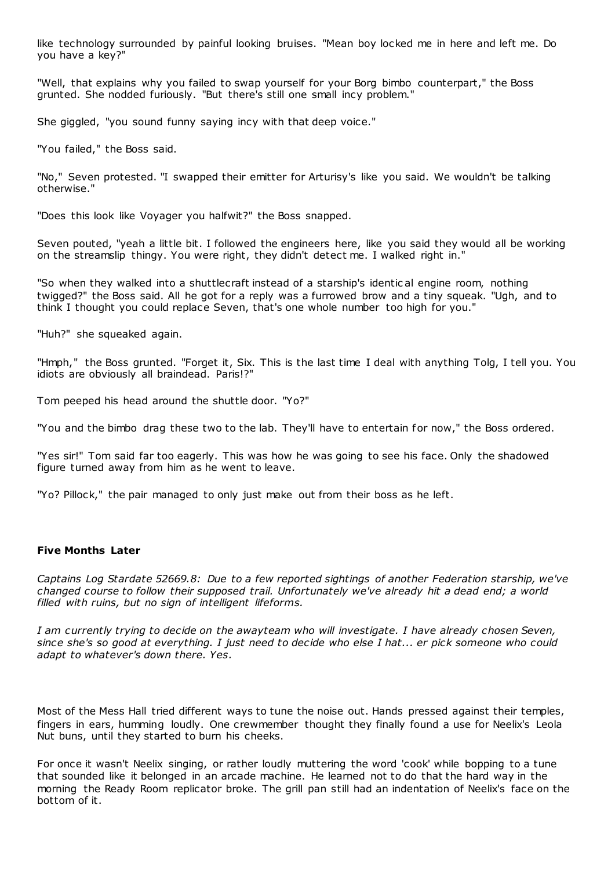like technology surrounded by painful looking bruises. "Mean boy locked me in here and left me. Do you have a key?"

"Well, that explains why you failed to swap yourself for your Borg bimbo counterpart," the Boss grunted. She nodded furiously. "But there's still one small incy problem."

She giggled, "you sound funny saying incy with that deep voice."

"You failed," the Boss said.

"No," Seven protested. "I swapped their emitter for Arturisy's like you said. We wouldn't be talking otherwise."

"Does this look like Voyager you halfwit?" the Boss snapped.

Seven pouted, "yeah a little bit. I followed the engineers here, like you said they would all be working on the streamslip thingy. You were right, they didn't detect me. I walked right in."

"So when they walked into a shuttlecraft instead of a starship's identic al engine room, nothing twigged?" the Boss said. All he got for a reply was a furrowed brow and a tiny squeak. "Ugh, and to think I thought you could replace Seven, that's one whole number too high for you."

"Huh?" she squeaked again.

"Hmph," the Boss grunted. "Forget it, Six. This is the last time I deal with anything Tolg, I tell you. You idiots are obviously all braindead. Paris!?"

Tom peeped his head around the shuttle door. "Yo?"

"You and the bimbo drag these two to the lab. They'll have to entertain for now," the Boss ordered.

"Yes sir!" Tom said far too eagerly. This was how he was going to see his face. Only the shadowed figure turned away from him as he went to leave.

"Yo? Pillock," the pair managed to only just make out from their boss as he left.

# **Five Months Later**

*Captains Log Stardate 52669.8: Due to a few reported sightings of another Federation starship, we've changed course to follow their supposed trail. Unfortunately we've already hit a dead end; a world filled with ruins, but no sign of intelligent lifeforms.*

*I am currently trying to decide on the awayteam who will investigate. I have already chosen Seven, since she's so good at everything. I just need to decide who else I hat... er pick someone who could adapt to whatever's down there. Yes.*

Most of the Mess Hall tried different ways to tune the noise out. Hands pressed against their temples, fingers in ears, humming loudly. One crewmember thought they finally found a use for Neelix's Leola Nut buns, until they started to burn his cheeks.

For once it wasn't Neelix singing, or rather loudly muttering the word 'cook' while bopping to a tune that sounded like it belonged in an arcade machine. He learned not to do that the hard way in the morning the Ready Room replicator broke. The grill pan still had an indentation of Neelix's face on the bottom of it.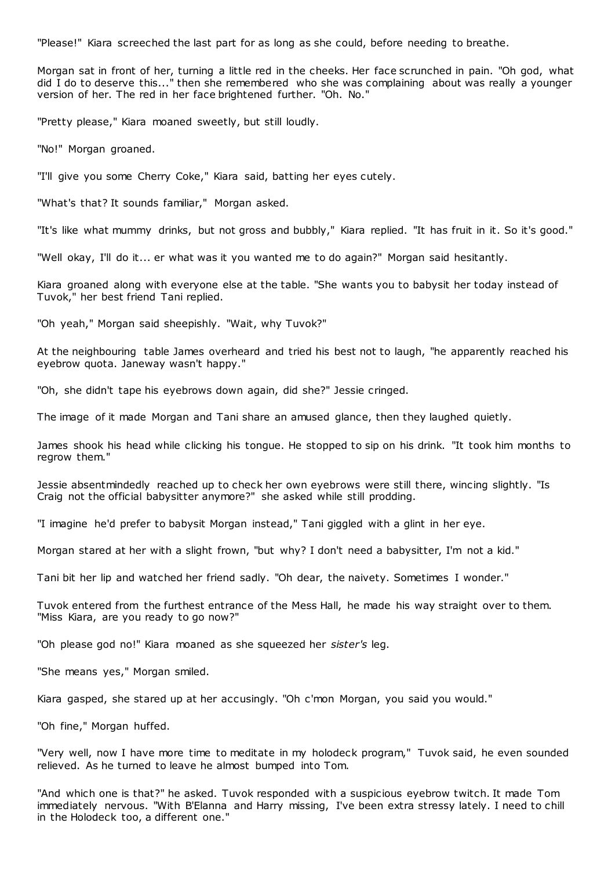"Please!" Kiara screeched the last part for as long as she could, before needing to breathe.

Morgan sat in front of her, turning a little red in the cheeks. Her face scrunched in pain. "Oh god, what did I do to deserve this..." then she remembered who she was complaining about was really a younger version of her. The red in her face brightened further. "Oh. No."

"Pretty please," Kiara moaned sweetly, but still loudly.

"No!" Morgan groaned.

"I'll give you some Cherry Coke," Kiara said, batting her eyes cutely.

"What's that? It sounds familiar," Morgan asked.

"It's like what mummy drinks, but not gross and bubbly," Kiara replied. "It has fruit in it. So it's good."

"Well okay, I'll do it... er what was it you wanted me to do again?" Morgan said hesitantly.

Kiara groaned along with everyone else at the table. "She wants you to babysit her today instead of Tuvok," her best friend Tani replied.

"Oh yeah," Morgan said sheepishly. "Wait, why Tuvok?"

At the neighbouring table James overheard and tried his best not to laugh, "he apparently reached his eyebrow quota. Janeway wasn't happy."

"Oh, she didn't tape his eyebrows down again, did she?" Jessie cringed.

The image of it made Morgan and Tani share an amused glance, then they laughed quietly.

James shook his head while clicking his tongue. He stopped to sip on his drink. "It took him months to regrow them."

Jessie absentmindedly reached up to check her own eyebrows were still there, wincing slightly. "Is Craig not the official babysitter anymore?" she asked while still prodding.

"I imagine he'd prefer to babysit Morgan instead," Tani giggled with a glint in her eye.

Morgan stared at her with a slight frown, "but why? I don't need a babysitter, I'm not a kid."

Tani bit her lip and watched her friend sadly. "Oh dear, the naivety. Sometimes I wonder."

Tuvok entered from the furthest entrance of the Mess Hall, he made his way straight over to them. "Miss Kiara, are you ready to go now?"

"Oh please god no!" Kiara moaned as she squeezed her *sister's* leg.

"She means yes," Morgan smiled.

Kiara gasped, she stared up at her accusingly. "Oh c'mon Morgan, you said you would."

"Oh fine," Morgan huffed.

"Very well, now I have more time to meditate in my holodeck program," Tuvok said, he even sounded relieved. As he turned to leave he almost bumped into Tom.

"And which one is that?" he asked. Tuvok responded with a suspicious eyebrow twitch. It made Tom immediately nervous. "With B'Elanna and Harry missing, I've been extra stressy lately. I need to chill in the Holodeck too, a different one."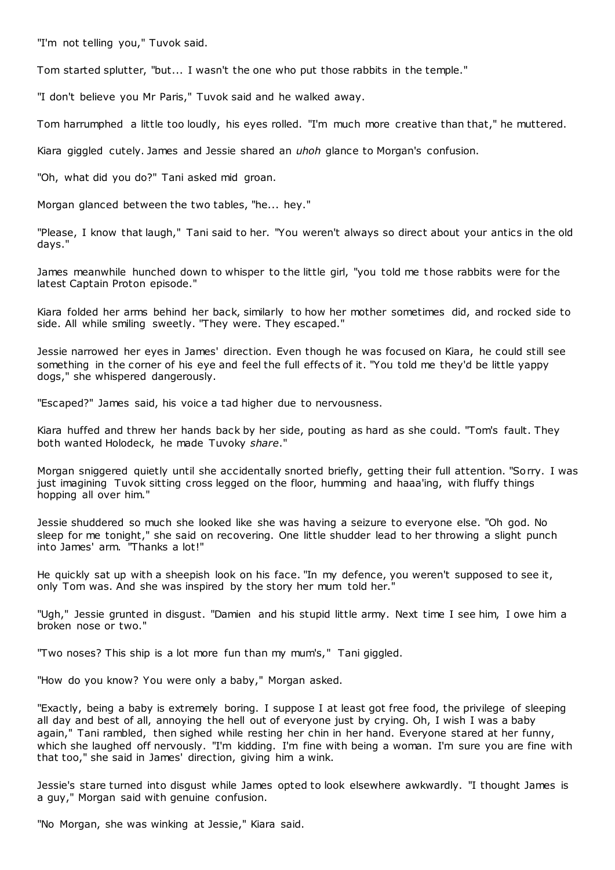"I'm not telling you," Tuvok said.

Tom started splutter, "but... I wasn't the one who put those rabbits in the temple."

"I don't believe you Mr Paris," Tuvok said and he walked away.

Tom harrumphed a little too loudly, his eyes rolled. "I'm much more creative than that," he muttered.

Kiara giggled cutely. James and Jessie shared an *uhoh* glance to Morgan's confusion.

"Oh, what did you do?" Tani asked mid groan.

Morgan glanced between the two tables, "he... hey."

"Please, I know that laugh," Tani said to her. "You weren't always so direct about your antics in the old days."

James meanwhile hunched down to whisper to the little girl, "you told me t hose rabbits were for the latest Captain Proton episode."

Kiara folded her arms behind her back, similarly to how her mother sometimes did, and rocked side to side. All while smiling sweetly. "They were. They escaped."

Jessie narrowed her eyes in James' direction. Even though he was focused on Kiara, he could still see something in the corner of his eye and feel the full effects of it. "You told me they'd be little yappy dogs," she whispered dangerously.

"Escaped?" James said, his voice a tad higher due to nervousness.

Kiara huffed and threw her hands back by her side, pouting as hard as she could. "Tom's fault. They both wanted Holodeck, he made Tuvoky *share*."

Morgan sniggered quietly until she accidentally snorted briefly, getting their full attention. "Sorry. I was just imagining Tuvok sitting cross legged on the floor, humming and haaa'ing, with fluffy things hopping all over him."

Jessie shuddered so much she looked like she was having a seizure to everyone else. "Oh god. No sleep for me tonight," she said on recovering. One little shudder lead to her throwing a slight punch into James' arm. "Thanks a lot!"

He quickly sat up with a sheepish look on his face. "In my defence, you weren't supposed to see it, only Tom was. And she was inspired by the story her mum told her."

"Ugh," Jessie grunted in disgust. "Damien and his stupid little army. Next time I see him, I owe him a broken nose or two."

"Two noses? This ship is a lot more fun than my mum's," Tani giggled.

"How do you know? You were only a baby," Morgan asked.

"Exactly, being a baby is extremely boring. I suppose I at least got free food, the privilege of sleeping all day and best of all, annoying the hell out of everyone just by crying. Oh, I wish I was a baby again," Tani rambled, then sighed while resting her chin in her hand. Everyone stared at her funny, which she laughed off nervously. "I'm kidding. I'm fine with being a woman. I'm sure you are fine with that too," she said in James' direction, giving him a wink.

Jessie's stare turned into disgust while James opted to look elsewhere awkwardly. "I thought James is a guy," Morgan said with genuine confusion.

"No Morgan, she was winking at Jessie," Kiara said.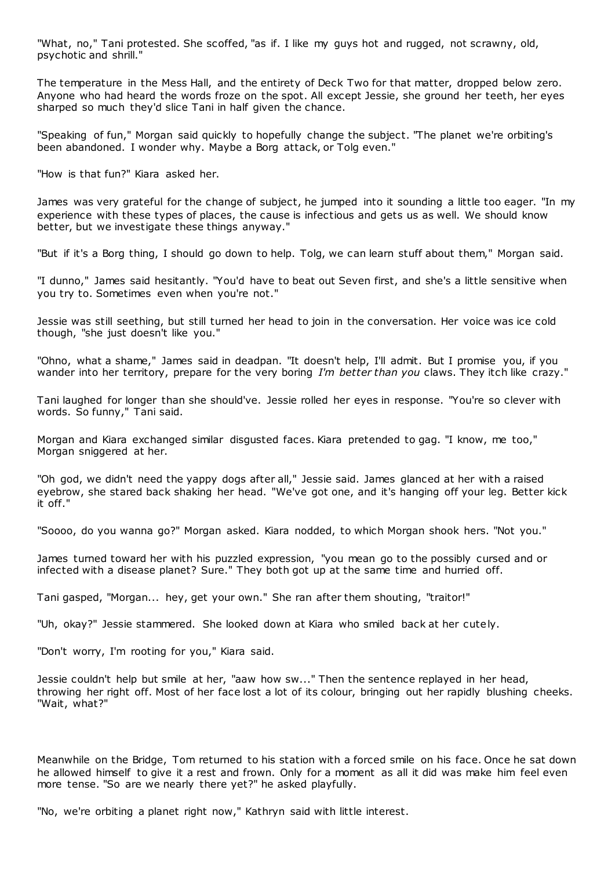"What, no," Tani protested. She scoffed, "as if. I like my guys hot and rugged, not scrawny, old, psychotic and shrill."

The temperature in the Mess Hall, and the entirety of Deck Two for that matter, dropped below zero. Anyone who had heard the words froze on the spot. All except Jessie, she ground her teeth, her eyes sharped so much they'd slice Tani in half given the chance.

"Speaking of fun," Morgan said quickly to hopefully change the subject. "The planet we're orbiting's been abandoned. I wonder why. Maybe a Borg attack, or Tolg even."

"How is that fun?" Kiara asked her.

James was very grateful for the change of subject, he jumped into it sounding a little too eager. "In my experience with these types of places, the cause is infectious and gets us as well. We should know better, but we investigate these things anyway."

"But if it's a Borg thing, I should go down to help. Tolg, we can learn stuff about them," Morgan said.

"I dunno," James said hesitantly. "You'd have to beat out Seven first, and she's a little sensitive when you try to. Sometimes even when you're not."

Jessie was still seething, but still turned her head to join in the conversation. Her voice was ice cold though, "she just doesn't like you."

"Ohno, what a shame," James said in deadpan. "It doesn't help, I'll admit. But I promise you, if you wander into her territory, prepare for the very boring *I'm better than you* claws. They itch like crazy."

Tani laughed for longer than she should've. Jessie rolled her eyes in response. "You're so clever with words. So funny," Tani said.

Morgan and Kiara exchanged similar disgusted faces. Kiara pretended to gag. "I know, me too," Morgan sniggered at her.

"Oh god, we didn't need the yappy dogs after all," Jessie said. James glanced at her with a raised eyebrow, she stared back shaking her head. "We've got one, and it's hanging off your leg. Better kick it off."

"Soooo, do you wanna go?" Morgan asked. Kiara nodded, to which Morgan shook hers. "Not you."

James turned toward her with his puzzled expression, "you mean go to the possibly cursed and or infected with a disease planet? Sure." They both got up at the same time and hurried off.

Tani gasped, "Morgan... hey, get your own." She ran after them shouting, "traitor!"

"Uh, okay?" Jessie stammered. She looked down at Kiara who smiled back at her cutely.

"Don't worry, I'm rooting for you," Kiara said.

Jessie couldn't help but smile at her, "aaw how sw..." Then the sentence replayed in her head, throwing her right off. Most of her face lost a lot of its colour, bringing out her rapidly blushing cheeks. "Wait, what?"

Meanwhile on the Bridge, Tom returned to his station with a forced smile on his face. Once he sat down he allowed himself to give it a rest and frown. Only for a moment as all it did was make him feel even more tense. "So are we nearly there yet?" he asked playfully.

"No, we're orbiting a planet right now," Kathryn said with little interest.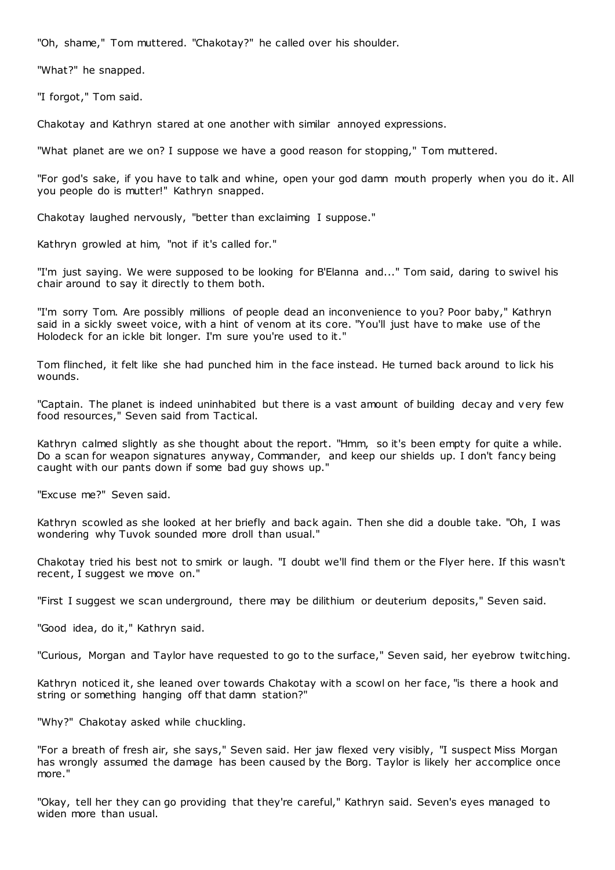"Oh, shame," Tom muttered. "Chakotay?" he called over his shoulder.

"What?" he snapped.

"I forgot," Tom said.

Chakotay and Kathryn stared at one another with similar annoyed expressions.

"What planet are we on? I suppose we have a good reason for stopping," Tom muttered.

"For god's sake, if you have to talk and whine, open your god damn mouth properly when you do it. All you people do is mutter!" Kathryn snapped.

Chakotay laughed nervously, "better than exclaiming I suppose."

Kathryn growled at him, "not if it's called for."

"I'm just saying. We were supposed to be looking for B'Elanna and..." Tom said, daring to swivel his chair around to say it directly to them both.

"I'm sorry Tom. Are possibly millions of people dead an inconvenience to you? Poor baby," Kathryn said in a sickly sweet voice, with a hint of venom at its core. "You'll just have to make use of the Holodeck for an ickle bit longer. I'm sure you're used to it."

Tom flinched, it felt like she had punched him in the face instead. He turned back around to lick his wounds.

"Captain. The planet is indeed uninhabited but there is a vast amount of building decay and very few food resources," Seven said from Tactical.

Kathryn calmed slightly as she thought about the report. "Hmm, so it's been empty for quite a while. Do a scan for weapon signatures anyway, Commander, and keep our shields up. I don't fancy being caught with our pants down if some bad guy shows up."

"Excuse me?" Seven said.

Kathryn scowled as she looked at her briefly and back again. Then she did a double take. "Oh, I was wondering why Tuvok sounded more droll than usual."

Chakotay tried his best not to smirk or laugh. "I doubt we'll find them or the Flyer here. If this wasn't recent, I suggest we move on."

"First I suggest we scan underground, there may be dilithium or deuterium deposits," Seven said.

"Good idea, do it," Kathryn said.

"Curious, Morgan and Taylor have requested to go to the surface," Seven said, her eyebrow twitching.

Kathryn noticed it, she leaned over towards Chakotay with a scowl on her face, "is there a hook and string or something hanging off that damn station?"

"Why?" Chakotay asked while chuckling.

"For a breath of fresh air, she says," Seven said. Her jaw flexed very visibly, "I suspect Miss Morgan has wrongly assumed the damage has been caused by the Borg. Taylor is likely her accomplice once more."

"Okay, tell her they can go providing that they're careful," Kathryn said. Seven's eyes managed to widen more than usual.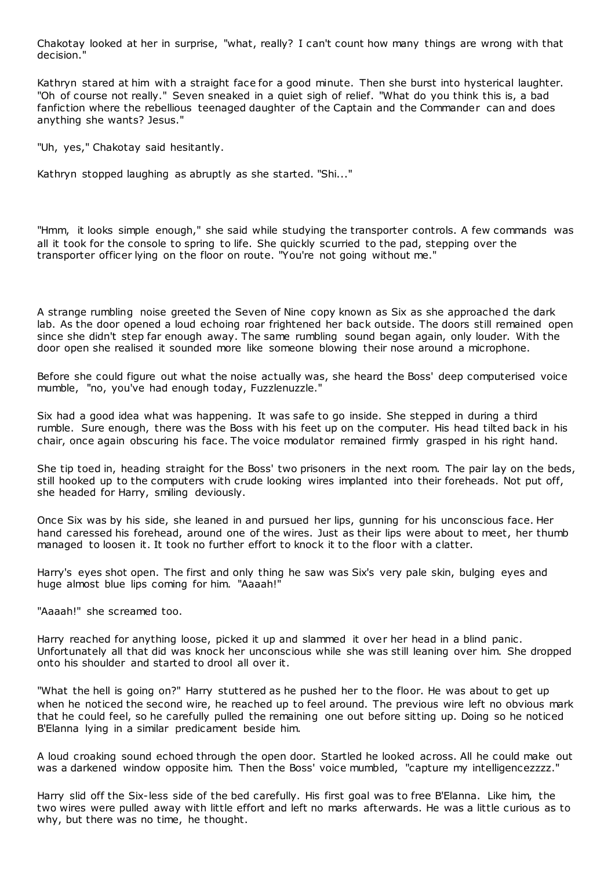Chakotay looked at her in surprise, "what, really? I can't count how many things are wrong with that decision."

Kathryn stared at him with a straight face for a good minute. Then she burst into hysterical laughter. "Oh of course not really." Seven sneaked in a quiet sigh of relief. "What do you think this is, a bad fanfiction where the rebellious teenaged daughter of the Captain and the Commander can and does anything she wants? Jesus."

"Uh, yes," Chakotay said hesitantly.

Kathryn stopped laughing as abruptly as she started. "Shi..."

"Hmm, it looks simple enough," she said while studying the transporter controls. A few commands was all it took for the console to spring to life. She quickly scurried to the pad, stepping over the transporter officer lying on the floor on route. "You're not going without me."

A strange rumbling noise greeted the Seven of Nine copy known as Six as she approached the dark lab. As the door opened a loud echoing roar frightened her back outside. The doors still remained open since she didn't step far enough away. The same rumbling sound began again, only louder. With the door open she realised it sounded more like someone blowing their nose around a microphone.

Before she could figure out what the noise actually was, she heard the Boss' deep computerised voice mumble, "no, you've had enough today, Fuzzlenuzzle."

Six had a good idea what was happening. It was safe to go inside. She stepped in during a third rumble. Sure enough, there was the Boss with his feet up on the computer. His head tilted back in his chair, once again obscuring his face. The voice modulator remained firmly grasped in his right hand.

She tip toed in, heading straight for the Boss' two prisoners in the next room. The pair lay on the beds, still hooked up to the computers with crude looking wires implanted into their foreheads. Not put off, she headed for Harry, smiling deviously.

Once Six was by his side, she leaned in and pursued her lips, gunning for his unconscious face. Her hand caressed his forehead, around one of the wires. Just as their lips were about to meet, her thumb managed to loosen it. It took no further effort to knock it to the floor with a clatter.

Harry's eyes shot open. The first and only thing he saw was Six's very pale skin, bulging eyes and huge almost blue lips coming for him. "Aaaah!"

"Aaaah!" she screamed too.

Harry reached for anything loose, picked it up and slammed it over her head in a blind panic . Unfortunately all that did was knock her unconscious while she was still leaning over him. She dropped onto his shoulder and started to drool all over it.

"What the hell is going on?" Harry stuttered as he pushed her to the floor. He was about to get up when he noticed the second wire, he reached up to feel around. The previous wire left no obvious mark that he could feel, so he carefully pulled the remaining one out before sitting up. Doing so he noticed B'Elanna lying in a similar predicament beside him.

A loud croaking sound echoed through the open door. Startled he looked across. All he could make out was a darkened window opposite him. Then the Boss' voice mumbled, "capture my intelligencezzzz."

Harry slid off the Six-less side of the bed carefully. His first goal was to free B'Elanna. Like him, the two wires were pulled away with little effort and left no marks afterwards. He was a little curious as to why, but there was no time, he thought.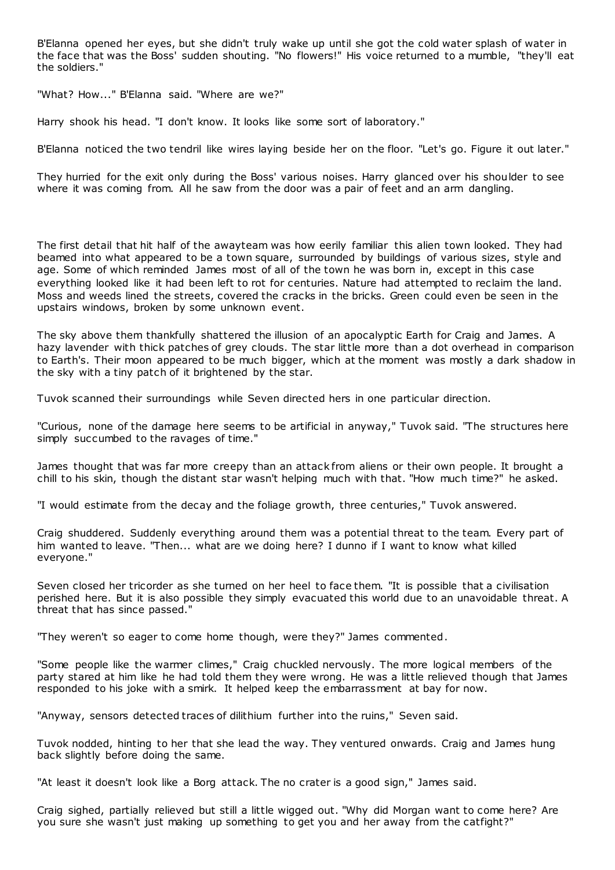B'Elanna opened her eyes, but she didn't truly wake up until she got the cold water splash of water in the face that was the Boss' sudden shouting. "No flowers!" His voice returned to a mumble, "they'll eat the soldiers."

"What? How..." B'Elanna said. "Where are we?"

Harry shook his head. "I don't know. It looks like some sort of laboratory."

B'Elanna noticed the two tendril like wires laying beside her on the floor. "Let's go. Figure it out later."

They hurried for the exit only during the Boss' various noises. Harry glanced over his shoulder to see where it was coming from. All he saw from the door was a pair of feet and an arm dangling.

The first detail that hit half of the awayteam was how eerily familiar this alien town looked. They had beamed into what appeared to be a town square, surrounded by buildings of various sizes, style and age. Some of which reminded James most of all of the town he was born in, except in this case everything looked like it had been left to rot for centuries. Nature had attempted to reclaim the land. Moss and weeds lined the streets, covered the cracks in the bricks. Green could even be seen in the upstairs windows, broken by some unknown event.

The sky above them thankfully shattered the illusion of an apocalyptic Earth for Craig and James. A hazy lavender with thick patches of grey clouds. The star little more than a dot overhead in comparison to Earth's. Their moon appeared to be much bigger, which at the moment was mostly a dark shadow in the sky with a tiny patch of it brightened by the star.

Tuvok scanned their surroundings while Seven directed hers in one particular direction.

"Curious, none of the damage here seems to be artificial in anyway," Tuvok said. "The structures here simply succumbed to the ravages of time."

James thought that was far more creepy than an attack from aliens or their own people. It brought a chill to his skin, though the distant star wasn't helping much with that. "How much time?" he asked.

"I would estimate from the decay and the foliage growth, three centuries," Tuvok answered.

Craig shuddered. Suddenly everything around them was a potential threat to the team. Every part of him wanted to leave. "Then... what are we doing here? I dunno if I want to know what killed everyone."

Seven closed her tricorder as she turned on her heel to face them. "It is possible that a civilisation perished here. But it is also possible they simply evacuated this world due to an unavoidable threat. A threat that has since passed."

"They weren't so eager to come home though, were they?" James commented.

"Some people like the warmer climes," Craig chuckled nervously. The more logical members of the party stared at him like he had told them they were wrong. He was a little relieved though that James responded to his joke with a smirk. It helped keep the embarrassment at bay for now.

"Anyway, sensors detected traces of dilithium further into the ruins," Seven said.

Tuvok nodded, hinting to her that she lead the way. They ventured onwards. Craig and James hung back slightly before doing the same.

"At least it doesn't look like a Borg attack. The no crater is a good sign," James said.

Craig sighed, partially relieved but still a little wigged out. "Why did Morgan want to come here? Are you sure she wasn't just making up something to get you and her away from the catfight?"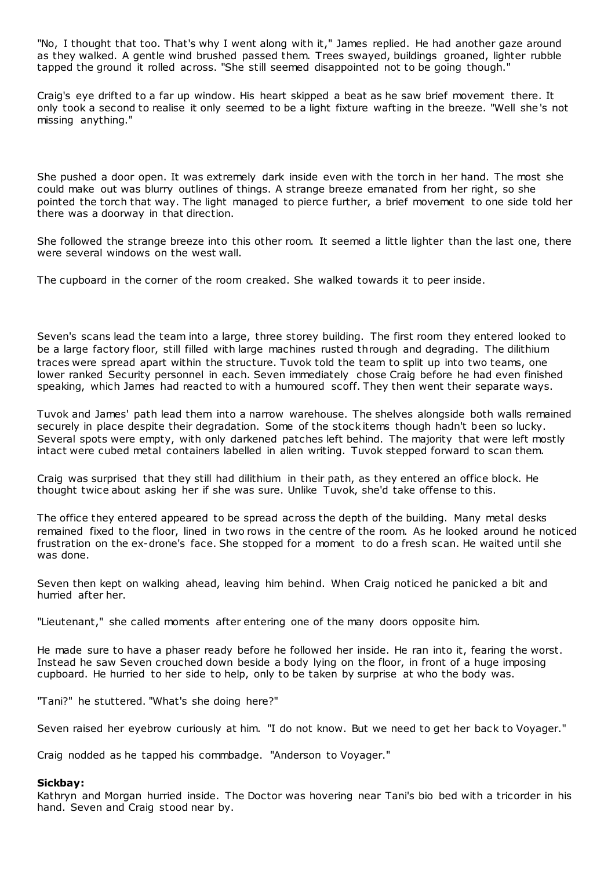"No, I thought that too. That's why I went along with it," James replied. He had another gaze around as they walked. A gentle wind brushed passed them. Trees swayed, buildings groaned, lighter rubble tapped the ground it rolled across. "She still seemed disappointed not to be going though."

Craig's eye drifted to a far up window. His heart skipped a beat as he saw brief movement there. It only took a second to realise it only seemed to be a light fixture wafting in the breeze. "Well she's not missing anything."

She pushed a door open. It was extremely dark inside even with the torch in her hand. The most she could make out was blurry outlines of things. A strange breeze emanated from her right, so she pointed the torch that way. The light managed to pierce further, a brief movement to one side told her there was a doorway in that direction.

She followed the strange breeze into this other room. It seemed a little lighter than the last one, there were several windows on the west wall.

The cupboard in the corner of the room creaked. She walked towards it to peer inside.

Seven's scans lead the team into a large, three storey building. The first room they entered looked to be a large factory floor, still filled with large machines rusted through and degrading. The dilithium traces were spread apart within the structure. Tuvok told the team to split up into two teams, one lower ranked Security personnel in each. Seven immediately chose Craig before he had even finished speaking, which James had reacted to with a humoured scoff. They then went their separate ways.

Tuvok and James' path lead them into a narrow warehouse. The shelves alongside both walls remained securely in place despite their degradation. Some of the stock items though hadn't been so lucky. Several spots were empty, with only darkened patches left behind. The majority that were left mostly intact were cubed metal containers labelled in alien writing. Tuvok stepped forward to scan them.

Craig was surprised that they still had dilithium in their path, as they entered an office block. He thought twice about asking her if she was sure. Unlike Tuvok, she'd take offense to this.

The office they entered appeared to be spread across the depth of the building. Many metal desks remained fixed to the floor, lined in two rows in the centre of the room. As he looked around he noticed frustration on the ex-drone's face. She stopped for a moment to do a fresh scan. He waited until she was done.

Seven then kept on walking ahead, leaving him behind. When Craig noticed he panicked a bit and hurried after her.

"Lieutenant," she called moments after entering one of the many doors opposite him.

He made sure to have a phaser ready before he followed her inside. He ran into it, fearing the worst. Instead he saw Seven crouched down beside a body lying on the floor, in front of a huge imposing cupboard. He hurried to her side to help, only to be taken by surprise at who the body was.

"Tani?" he stuttered. "What's she doing here?"

Seven raised her eyebrow curiously at him. "I do not know. But we need to get her back to Voyager."

Craig nodded as he tapped his commbadge. "Anderson to Voyager."

# **Sickbay:**

Kathryn and Morgan hurried inside. The Doctor was hovering near Tani's bio bed with a tricorder in his hand. Seven and Craig stood near by.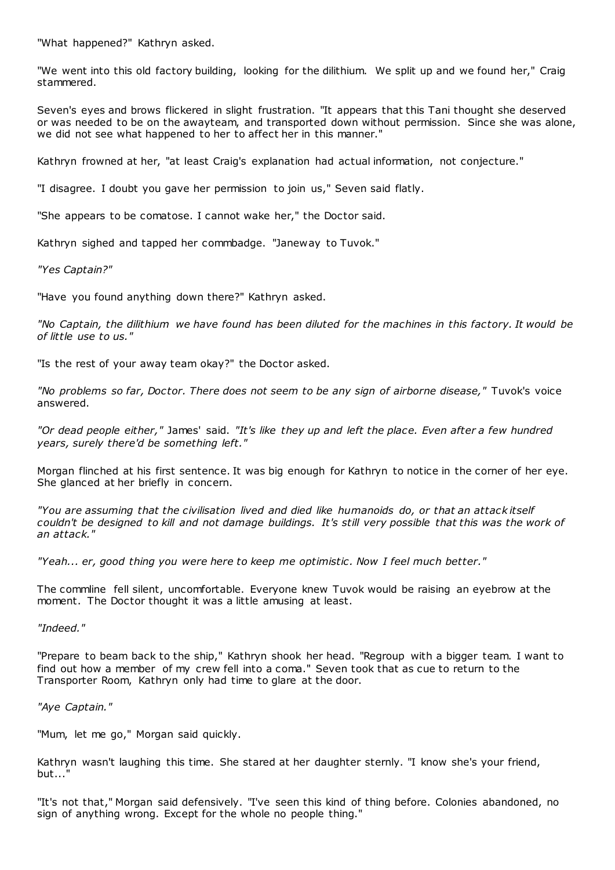"What happened?" Kathryn asked.

"We went into this old factory building, looking for the dilithium. We split up and we found her," Craig stammered.

Seven's eyes and brows flickered in slight frustration. "It appears that this Tani thought she deserved or was needed to be on the awayteam, and transported down without permission. Since she was alone, we did not see what happened to her to affect her in this manner."

Kathryn frowned at her, "at least Craig's explanation had actual information, not conjecture."

"I disagree. I doubt you gave her permission to join us," Seven said flatly.

"She appears to be comatose. I cannot wake her," the Doctor said.

Kathryn sighed and tapped her commbadge. "Janeway to Tuvok."

*"Yes Captain?"*

"Have you found anything down there?" Kathryn asked.

*"No Captain, the dilithium we have found has been diluted for the machines in this factory. It would be of little use to us."*

"Is the rest of your away team okay?" the Doctor asked.

*"No problems so far, Doctor. There does not seem to be any sign of airborne disease,"* Tuvok's voice answered.

*"Or dead people either,"* James' said. *"It's like they up and left the place. Even after a few hundred years, surely there'd be something left."*

Morgan flinched at his first sentence. It was big enough for Kathryn to notice in the corner of her eye. She glanced at her briefly in concern.

*"You are assuming that the civilisation lived and died like humanoids do, or that an attack itself couldn't be designed to kill and not damage buildings. It's still very possible that this was the work of an attack."*

*"Yeah... er, good thing you were here to keep me optimistic . Now I feel much better."*

The commline fell silent, uncomfortable. Everyone knew Tuvok would be raising an eyebrow at the moment. The Doctor thought it was a little amusing at least.

*"Indeed."*

"Prepare to beam back to the ship," Kathryn shook her head. "Regroup with a bigger team. I want to find out how a member of my crew fell into a coma." Seven took that as cue to return to the Transporter Room, Kathryn only had time to glare at the door.

# *"Aye Captain."*

"Mum, let me go," Morgan said quickly.

Kathryn wasn't laughing this time. She stared at her daughter sternly. "I know she's your friend, but..."

"It's not that," Morgan said defensively. "I've seen this kind of thing before. Colonies abandoned, no sign of anything wrong. Except for the whole no people thing."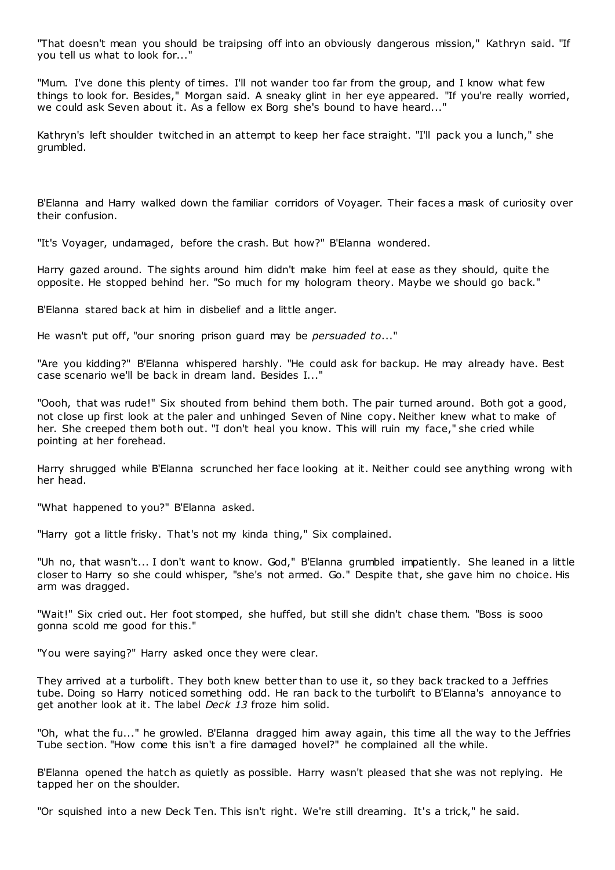"That doesn't mean you should be traipsing off into an obviously dangerous mission," Kathryn said. "If you tell us what to look for..."

"Mum. I've done this plenty of times. I'll not wander too far from the group, and I know what few things to look for. Besides," Morgan said. A sneaky glint in her eye appeared. "If you're really worried, we could ask Seven about it. As a fellow ex Borg she's bound to have heard..."

Kathryn's left shoulder twitched in an attempt to keep her face straight. "I'll pack you a lunch," she grumbled.

B'Elanna and Harry walked down the familiar corridors of Voyager. Their faces a mask of curiosity over their confusion.

"It's Voyager, undamaged, before the crash. But how?" B'Elanna wondered.

Harry gazed around. The sights around him didn't make him feel at ease as they should, quite the opposite. He stopped behind her. "So much for my hologram theory. Maybe we should go back."

B'Elanna stared back at him in disbelief and a little anger.

He wasn't put off, "our snoring prison guard may be *persuaded to*..."

"Are you kidding?" B'Elanna whispered harshly. "He could ask for backup. He may already have. Best case scenario we'll be back in dream land. Besides I..."

"Oooh, that was rude!" Six shouted from behind them both. The pair turned around. Both got a good, not close up first look at the paler and unhinged Seven of Nine copy. Neither knew what to make of her. She creeped them both out. "I don't heal you know. This will ruin my face," she cried while pointing at her forehead.

Harry shrugged while B'Elanna scrunched her face looking at it. Neither could see anything wrong with her head.

"What happened to you?" B'Elanna asked.

"Harry got a little frisky. That's not my kinda thing," Six complained.

"Uh no, that wasn't... I don't want to know. God," B'Elanna grumbled impatiently. She leaned in a little closer to Harry so she could whisper, "she's not armed. Go." Despite that, she gave him no choice. His arm was dragged.

"Wait!" Six cried out. Her foot stomped, she huffed, but still she didn't chase them. "Boss is sooo gonna scold me good for this."

"You were saying?" Harry asked once they were clear.

They arrived at a turbolift. They both knew better than to use it, so they back tracked to a Jeffries tube. Doing so Harry noticed something odd. He ran back to the turbolift to B'Elanna's annoyance to get another look at it. The label *Deck 13* froze him solid.

"Oh, what the fu..." he growled. B'Elanna dragged him away again, this time all the way to the Jeffries Tube section. "How come this isn't a fire damaged hovel?" he complained all the while.

B'Elanna opened the hatch as quietly as possible. Harry wasn't pleased that she was not replying. He tapped her on the shoulder.

"Or squished into a new Deck Ten. This isn't right. We're still dreaming. It's a trick," he said.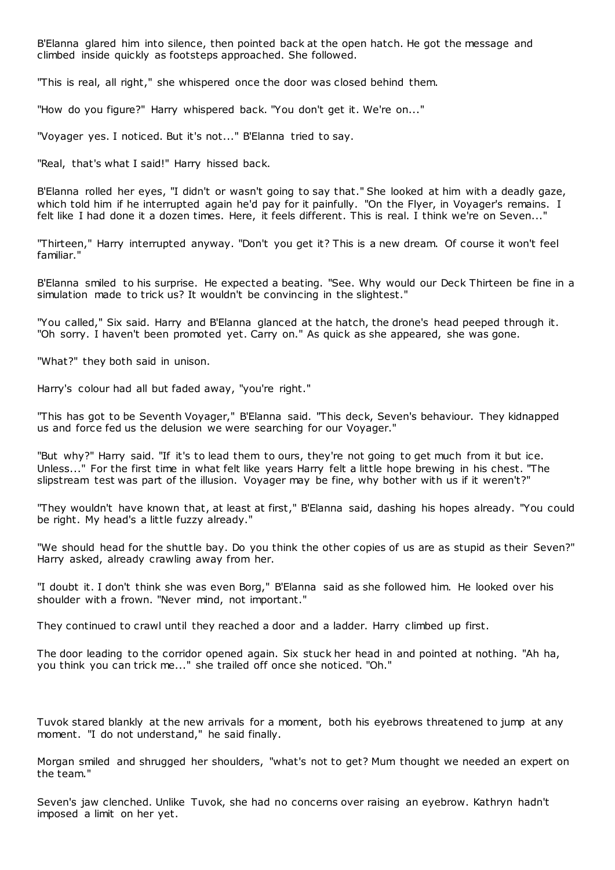B'Elanna glared him into silence, then pointed back at the open hatch. He got the message and climbed inside quickly as footsteps approached. She followed.

"This is real, all right," she whispered once the door was closed behind them.

"How do you figure?" Harry whispered back. "You don't get it. We're on..."

"Voyager yes. I noticed. But it's not..." B'Elanna tried to say.

"Real, that's what I said!" Harry hissed back.

B'Elanna rolled her eyes, "I didn't or wasn't going to say that." She looked at him with a deadly gaze, which told him if he interrupted again he'd pay for it painfully. "On the Flyer, in Voyager's remains. I felt like I had done it a dozen times. Here, it feels different. This is real. I think we're on Seven..."

"Thirteen," Harry interrupted anyway. "Don't you get it? This is a new dream. Of course it won't feel familiar."

B'Elanna smiled to his surprise. He expected a beating. "See. Why would our Deck Thirteen be fine in a simulation made to trick us? It wouldn't be convincing in the slightest."

"You called," Six said. Harry and B'Elanna glanced at the hatch, the drone's head peeped through it. "Oh sorry. I haven't been promoted yet. Carry on." As quick as she appeared, she was gone.

"What?" they both said in unison.

Harry's colour had all but faded away, "you're right."

"This has got to be Seventh Voyager," B'Elanna said. "This deck, Seven's behaviour. They kidnapped us and force fed us the delusion we were searching for our Voyager."

"But why?" Harry said. "If it's to lead them to ours, they're not going to get much from it but ice. Unless..." For the first time in what felt like years Harry felt a little hope brewing in his chest. "The slipstream test was part of the illusion. Voyager may be fine, why bother with us if it weren't?"

"They wouldn't have known that, at least at first," B'Elanna said, dashing his hopes already. "You could be right. My head's a little fuzzy already."

"We should head for the shuttle bay. Do you think the other copies of us are as stupid as their Seven?" Harry asked, already crawling away from her.

"I doubt it. I don't think she was even Borg," B'Elanna said as she followed him. He looked over his shoulder with a frown. "Never mind, not important."

They continued to crawl until they reached a door and a ladder. Harry climbed up first.

The door leading to the corridor opened again. Six stuck her head in and pointed at nothing. "Ah ha, you think you can trick me..." she trailed off once she noticed. "Oh."

Tuvok stared blankly at the new arrivals for a moment, both his eyebrows threatened to jump at any moment. "I do not understand," he said finally.

Morgan smiled and shrugged her shoulders, "what's not to get? Mum thought we needed an expert on the team."

Seven's jaw clenched. Unlike Tuvok, she had no concerns over raising an eyebrow. Kathryn hadn't imposed a limit on her yet.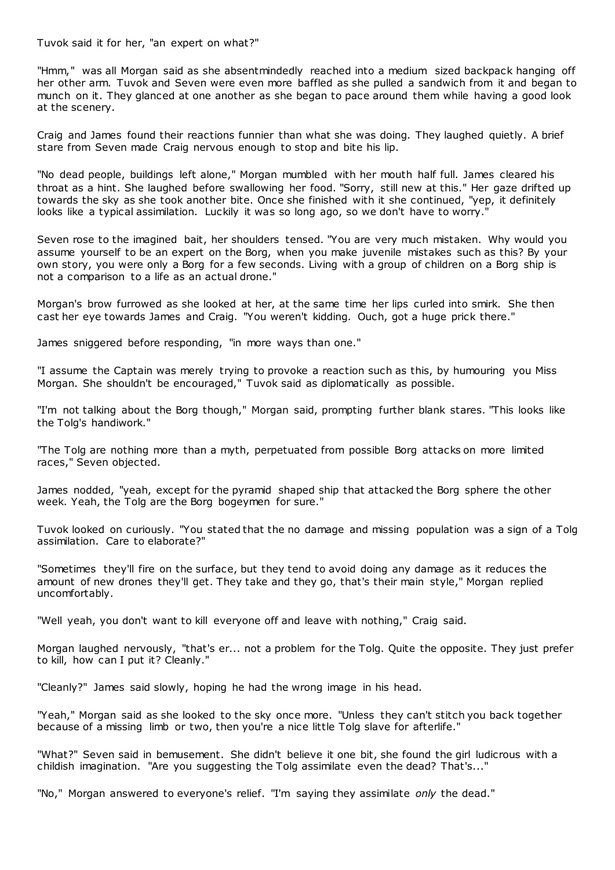Tuvok said it for her, "an expert on what?"

"Hmm," was all Morgan said as she absentmindedly reached into a medium sized backpack hanging off her other arm. Tuvok and Seven were even more baffled as she pulled a sandwich from it and began to munch on it. They glanced at one another as she began to pace around them while having a good look at the scenery.

Craig and James found their reactions funnier than what she was doing. They laughed quietly. A brief stare from Seven made Craig nervous enough to stop and bite his lip.

"No dead people, buildings left alone," Morgan mumbled with her mouth half full. James cleared his throat as a hint. She laughed before swallowing her food. "Sorry, still new at this." Her gaze drifted up towards the sky as she took another bite. Once she finished with it she continued, "yep, it definitely looks like a typical assimilation. Luckily it was so long ago, so we don't have to worry."

Seven rose to the imagined bait, her shoulders tensed. "You are very much mistaken. Why would you assume yourself to be an expert on the Borg, when you make juvenile mistakes such as this? By your own story, you were only a Borg for a few seconds. Living with a group of children on a Borg ship is not a comparison to a life as an actual drone."

Morgan's brow furrowed as she looked at her, at the same time her lips curled into smirk. She then cast her eye towards James and Craig. "You weren't kidding. Ouch, got a huge prick there."

James sniggered before responding, "in more ways than one."

"I assume the Captain was merely trying to provoke a reaction such as this, by humouring you Miss Morgan. She shouldn't be encouraged," Tuvok said as diplomatically as possible.

"I'm not talking about the Borg though," Morgan said, prompting further blank stares. "This looks like the Tolg's handiwork."

"The Tolg are nothing more than a myth, perpetuated from possible Borg attacks on more limited races," Seven objected.

James nodded, "yeah, except for the pyramid shaped ship that attacked the Borg sphere the other week. Yeah, the Tolg are the Borg bogeymen for sure."

Tuvok looked on curiously. "You stated that the no damage and missing population was a sign of a Tolg assimilation. Care to elaborate?"

"Sometimes they'll fire on the surface, but they tend to avoid doing any damage as it reduces the amount of new drones they'll get. They take and they go, that's their main style," Morgan replied uncomfortably.

"Well yeah, you don't want to kill everyone off and leave with nothing," Craig said.

Morgan laughed nervously, "that's er... not a problem for the Tolg. Quite the opposite. They just prefer to kill, how can I put it? Cleanly."

"Cleanly?" James said slowly, hoping he had the wrong image in his head.

"Yeah," Morgan said as she looked to the sky once more. "Unless they can't stitch you back together because of a missing limb or two, then you're a nice little Tolg slave for afterlife."

"What?" Seven said in bemusement. She didn't believe it one bit, she found the girl ludicrous with a childish imagination. "Are you suggesting the Tolg assimilate even the dead? That's..."

"No," Morgan answered to everyone's relief. "I'm saying they assimilate *only* the dead."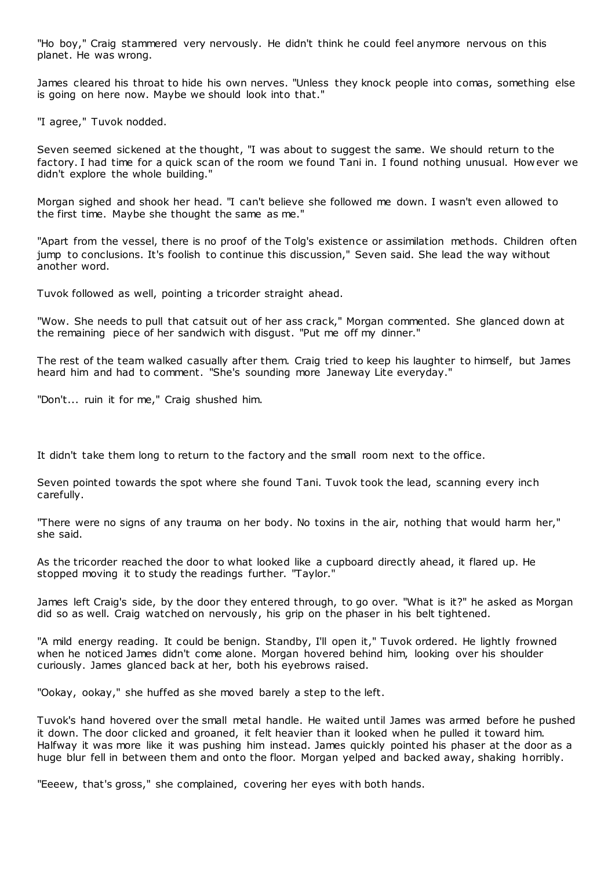"Ho boy," Craig stammered very nervously. He didn't think he could feel anymore nervous on this planet. He was wrong.

James cleared his throat to hide his own nerves. "Unless they knock people into comas, something else is going on here now. Maybe we should look into that."

"I agree," Tuvok nodded.

Seven seemed sickened at the thought, "I was about to suggest the same. We should return to the factory. I had time for a quick scan of the room we found Tani in. I found nothing unusual. How ever we didn't explore the whole building."

Morgan sighed and shook her head. "I can't believe she followed me down. I wasn't even allowed to the first time. Maybe she thought the same as me."

"Apart from the vessel, there is no proof of the Tolg's existence or assimilation methods. Children often jump to conclusions. It's foolish to continue this discussion," Seven said. She lead the way without another word.

Tuvok followed as well, pointing a tricorder straight ahead.

"Wow. She needs to pull that catsuit out of her ass crack," Morgan commented. She glanced down at the remaining piece of her sandwich with disgust. "Put me off my dinner."

The rest of the team walked casually after them. Craig tried to keep his laughter to himself, but James heard him and had to comment. "She's sounding more Janeway Lite everyday."

"Don't... ruin it for me," Craig shushed him.

It didn't take them long to return to the factory and the small room next to the office.

Seven pointed towards the spot where she found Tani. Tuvok took the lead, scanning every inch carefully.

"There were no signs of any trauma on her body. No toxins in the air, nothing that would harm her," she said.

As the tricorder reached the door to what looked like a cupboard directly ahead, it flared up. He stopped moving it to study the readings further. "Taylor."

James left Craig's side, by the door they entered through, to go over. "What is it?" he asked as Morgan did so as well. Craig watched on nervously, his grip on the phaser in his belt tightened.

"A mild energy reading. It could be benign. Standby, I'll open it," Tuvok ordered. He lightly frowned when he noticed James didn't come alone. Morgan hovered behind him, looking over his shoulder curiously. James glanced back at her, both his eyebrows raised.

"Ookay, ookay," she huffed as she moved barely a step to the left.

Tuvok's hand hovered over the small metal handle. He waited until James was armed before he pushed it down. The door clicked and groaned, it felt heavier than it looked when he pulled it toward him. Halfway it was more like it was pushing him instead. James quickly pointed his phaser at the door as a huge blur fell in between them and onto the floor. Morgan yelped and backed away, shaking horribly.

"Eeeew, that's gross," she complained, covering her eyes with both hands.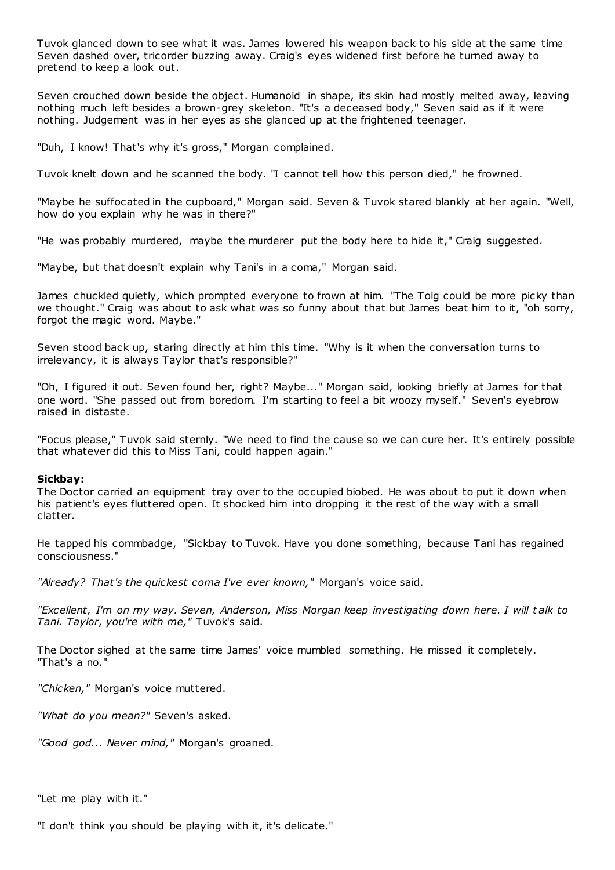Tuvok glanced down to see what it was. James lowered his weapon back to his side at the same time Seven dashed over, tricorder buzzing away. Craig's eyes widened first before he turned away to pretend to keep a look out.

Seven crouched down beside the object. Humanoid in shape, its skin had mostly melted away, leaving nothing much left besides a brown-grey skeleton. "It's a deceased body," Seven said as if it were nothing. Judgement was in her eyes as she glanced up at the frightened teenager.

"Duh, I know! That's why it's gross," Morgan complained.

Tuvok knelt down and he scanned the body. "I cannot tell how this person died," he frowned.

"Maybe he suffocated in the cupboard," Morgan said. Seven & Tuvok stared blankly at her again. "Well, how do you explain why he was in there?"

"He was probably murdered, maybe the murderer put the body here to hide it," Craig suggested.

"Maybe, but that doesn't explain why Tani's in a coma," Morgan said.

James chuckled quietly, which prompted everyone to frown at him. "The Tolg could be more picky than we thought." Craig was about to ask what was so funny about that but James beat him to it, "oh sorry, forgot the magic word. Maybe."

Seven stood back up, staring directly at him this time. "Why is it when the conversation turns to irrelevancy, it is always Taylor that's responsible?"

"Oh, I figured it out. Seven found her, right? Maybe..." Morgan said, looking briefly at James for that one word. "She passed out from boredom. I'm starting to feel a bit woozy myself." Seven's eyebrow raised in distaste.

"Focus please," Tuvok said sternly. "We need to find the cause so we can cure her. It's entirely possible that whatever did this to Miss Tani, could happen again."

# **Sickbay:**

The Doctor carried an equipment tray over to the occupied biobed. He was about to put it down when his patient's eyes fluttered open. It shocked him into dropping it the rest of the way with a small clatter.

He tapped his commbadge, "Sickbay to Tuvok. Have you done something, because Tani has regained consciousness."

*"Already? That's the quickest coma I've ever known,"* Morgan's voice said.

*"Excellent, I'm on my way. Seven, Anderson, Miss Morgan keep investigating down here. I will t alk to Tani. Taylor, you're with me,"* Tuvok's said.

The Doctor sighed at the same time James' voice mumbled something. He missed it completely. "That's a no."

*"Chicken,"* Morgan's voice muttered.

*"What do you mean?"* Seven's asked.

*"Good god... Never mind,"* Morgan's groaned.

"Let me play with it."

"I don't think you should be playing with it, it's delicate."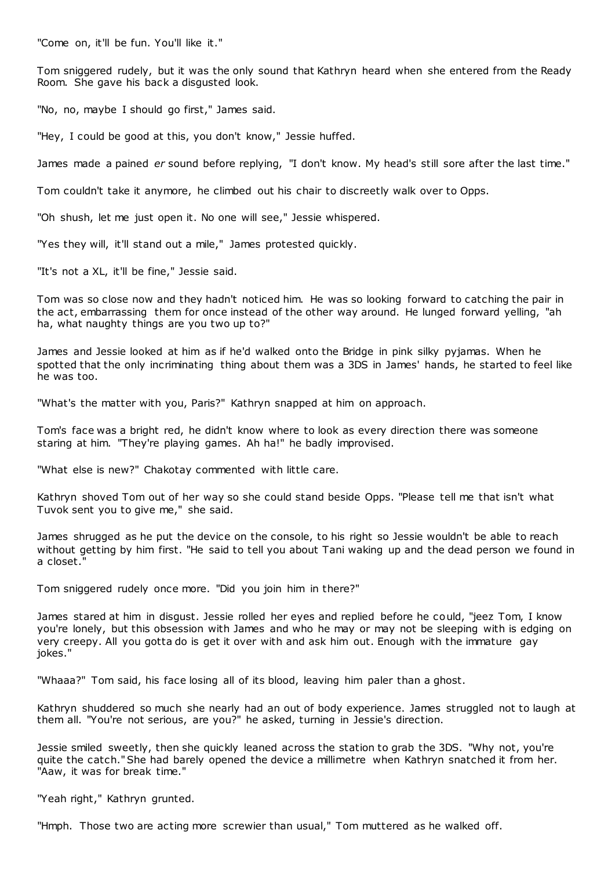"Come on, it'll be fun. You'll like it."

Tom sniggered rudely, but it was the only sound that Kathryn heard when she entered from the Ready Room. She gave his back a disgusted look.

"No, no, maybe I should go first," James said.

"Hey, I could be good at this, you don't know," Jessie huffed.

James made a pained *er* sound before replying, "I don't know. My head's still sore after the last time."

Tom couldn't take it anymore, he climbed out his chair to discreetly walk over to Opps.

"Oh shush, let me just open it. No one will see," Jessie whispered.

"Yes they will, it'll stand out a mile," James protested quickly.

"It's not a XL, it'll be fine," Jessie said.

Tom was so close now and they hadn't noticed him. He was so looking forward to catching the pair in the act, embarrassing them for once instead of the other way around. He lunged forward yelling, "ah ha, what naughty things are you two up to?"

James and Jessie looked at him as if he'd walked onto the Bridge in pink silky pyjamas. When he spotted that the only incriminating thing about them was a 3DS in James' hands, he started to feel like he was too.

"What's the matter with you, Paris?" Kathryn snapped at him on approach.

Tom's face was a bright red, he didn't know where to look as every direction there was someone staring at him. "They're playing games. Ah ha!" he badly improvised.

"What else is new?" Chakotay commented with little care.

Kathryn shoved Tom out of her way so she could stand beside Opps. "Please tell me that isn't what Tuvok sent you to give me," she said.

James shrugged as he put the device on the console, to his right so Jessie wouldn't be able to reach without getting by him first. "He said to tell you about Tani waking up and the dead person we found in a closet."

Tom sniggered rudely once more. "Did you join him in there?"

James stared at him in disgust. Jessie rolled her eyes and replied before he could, "jeez Tom, I know you're lonely, but this obsession with James and who he may or may not be sleeping with is edging on very creepy. All you gotta do is get it over with and ask him out. Enough with the immature gay jokes."

"Whaaa?" Tom said, his face losing all of its blood, leaving him paler than a ghost.

Kathryn shuddered so much she nearly had an out of body experience. James struggled not to laugh at them all. "You're not serious, are you?" he asked, turning in Jessie's direction.

Jessie smiled sweetly, then she quickly leaned across the station to grab the 3DS. "Why not, you're quite the catch." She had barely opened the device a millimetre when Kathryn snatched it from her. "Aaw, it was for break time."

"Yeah right," Kathryn grunted.

"Hmph. Those two are acting more screwier than usual," Tom muttered as he walked off.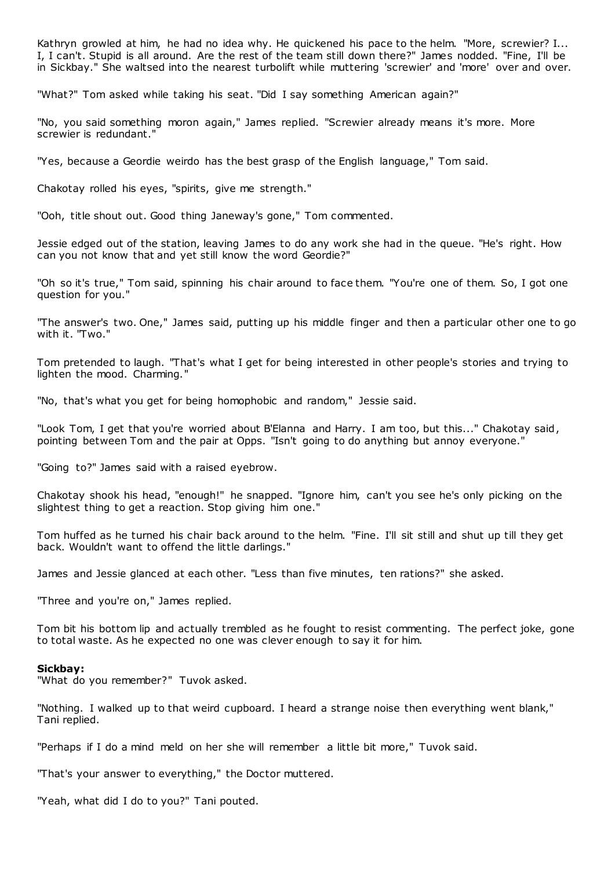Kathryn growled at him, he had no idea why. He quickened his pace to the helm. "More, screwier? I... I, I can't. Stupid is all around. Are the rest of the team still down there?" James nodded. "Fine, I'll be in Sickbay." She waltsed into the nearest turbolift while muttering 'screwier' and 'more' over and over.

"What?" Tom asked while taking his seat. "Did I say something American again?"

"No, you said something moron again," James replied. "Screwier already means it's more. More screwier is redundant."

"Yes, because a Geordie weirdo has the best grasp of the English language," Tom said.

Chakotay rolled his eyes, "spirits, give me strength."

"Ooh, title shout out. Good thing Janeway's gone," Tom commented.

Jessie edged out of the station, leaving James to do any work she had in the queue. "He's right. How can you not know that and yet still know the word Geordie?"

"Oh so it's true," Tom said, spinning his chair around to face them. "You're one of them. So, I got one question for you."

"The answer's two. One," James said, putting up his middle finger and then a particular other one to go with it. "Two."

Tom pretended to laugh. "That's what I get for being interested in other people's stories and trying to lighten the mood. Charming."

"No, that's what you get for being homophobic and random," Jessie said.

"Look Tom, I get that you're worried about B'Elanna and Harry. I am too, but this..." Chakotay said, pointing between Tom and the pair at Opps. "Isn't going to do anything but annoy everyone."

"Going to?" James said with a raised eyebrow.

Chakotay shook his head, "enough!" he snapped. "Ignore him, can't you see he's only picking on the slightest thing to get a reaction. Stop giving him one."

Tom huffed as he turned his chair back around to the helm. "Fine. I'll sit still and shut up till they get back. Wouldn't want to offend the little darlings."

James and Jessie glanced at each other. "Less than five minutes, ten rations?" she asked.

"Three and you're on," James replied.

Tom bit his bottom lip and actually trembled as he fought to resist commenting. The perfect joke, gone to total waste. As he expected no one was clever enough to say it for him.

#### **Sickbay:**

"What do you remember?" Tuvok asked.

"Nothing. I walked up to that weird cupboard. I heard a strange noise then everything went blank," Tani replied.

"Perhaps if I do a mind meld on her she will remember a little bit more," Tuvok said.

"That's your answer to everything," the Doctor muttered.

"Yeah, what did I do to you?" Tani pouted.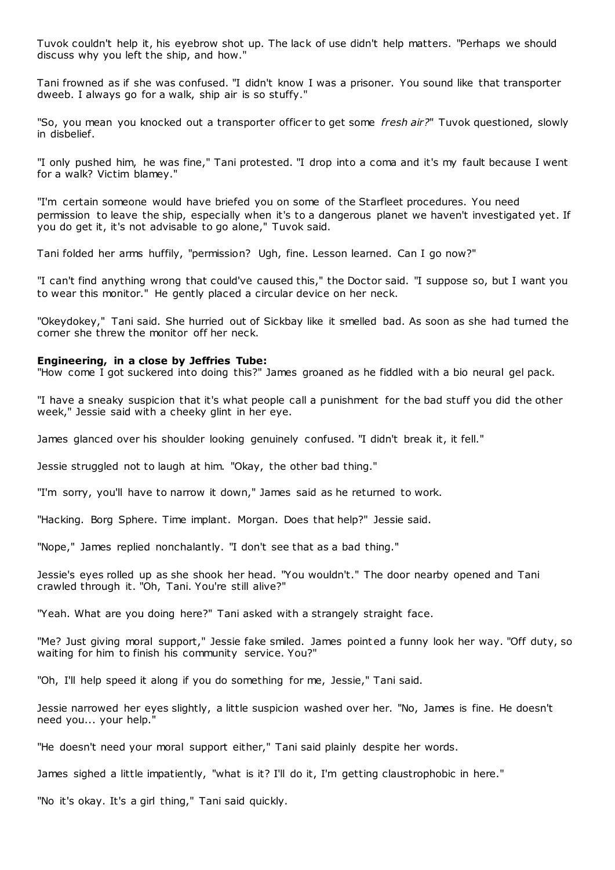Tuvok couldn't help it, his eyebrow shot up. The lack of use didn't help matters. "Perhaps we should discuss why you left the ship, and how."

Tani frowned as if she was confused. "I didn't know I was a prisoner. You sound like that transporter dweeb. I always go for a walk, ship air is so stuffy."

"So, you mean you knocked out a transporter officer to get some *fresh air?*" Tuvok questioned, slowly in disbelief.

"I only pushed him, he was fine," Tani protested. "I drop into a coma and it's my fault because I went for a walk? Victim blamey."

"I'm certain someone would have briefed you on some of the Starfleet procedures. You need permission to leave the ship, especially when it's to a dangerous planet we haven't investigated yet. If you do get it, it's not advisable to go alone," Tuvok said.

Tani folded her arms huffily, "permission? Ugh, fine. Lesson learned. Can I go now?"

"I can't find anything wrong that could've caused this," the Doctor said. "I suppose so, but I want you to wear this monitor." He gently placed a circular device on her neck.

"Okeydokey," Tani said. She hurried out of Sickbay like it smelled bad. As soon as she had turned the corner she threw the monitor off her neck.

#### **Engineering, in a close by Jeffries Tube:**

"How come I got suckered into doing this?" James groaned as he fiddled with a bio neural gel pack.

"I have a sneaky suspicion that it's what people call a punishment for the bad stuff you did the other week," Jessie said with a cheeky glint in her eye.

James glanced over his shoulder looking genuinely confused. "I didn't break it, it fell."

Jessie struggled not to laugh at him. "Okay, the other bad thing."

"I'm sorry, you'll have to narrow it down," James said as he returned to work.

"Hacking. Borg Sphere. Time implant. Morgan. Does that help?" Jessie said.

"Nope," James replied nonchalantly. "I don't see that as a bad thing."

Jessie's eyes rolled up as she shook her head. "You wouldn't." The door nearby opened and Tani crawled through it. "Oh, Tani. You're still alive?"

"Yeah. What are you doing here?" Tani asked with a strangely straight face.

"Me? Just giving moral support," Jessie fake smiled. James point ed a funny look her way. "Off duty, so waiting for him to finish his community service. You?"

"Oh, I'll help speed it along if you do something for me, Jessie," Tani said.

Jessie narrowed her eyes slightly, a little suspicion washed over her. "No, James is fine. He doesn't need you... your help."

"He doesn't need your moral support either," Tani said plainly despite her words.

James sighed a little impatiently, "what is it? I'll do it, I'm getting claustrophobic in here."

"No it's okay. It's a girl thing," Tani said quickly.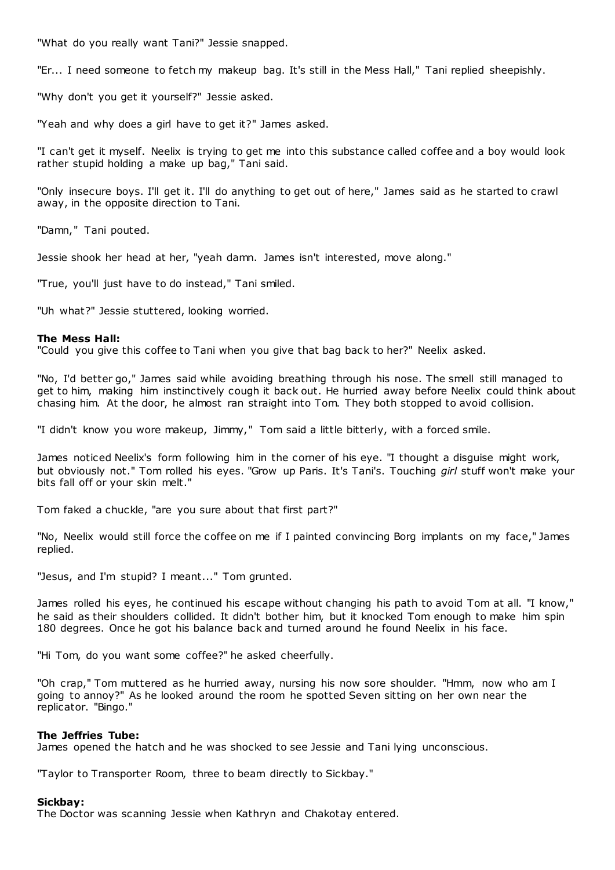"What do you really want Tani?" Jessie snapped.

"Er... I need someone to fetch my makeup bag. It's still in the Mess Hall," Tani replied sheepishly.

"Why don't you get it yourself?" Jessie asked.

"Yeah and why does a girl have to get it?" James asked.

"I can't get it myself. Neelix is trying to get me into this substance called coffee and a boy would look rather stupid holding a make up bag," Tani said.

"Only insecure boys. I'll get it. I'll do anything to get out of here," James said as he started to crawl away, in the opposite direction to Tani.

"Damn," Tani pouted.

Jessie shook her head at her, "yeah damn. James isn't interested, move along."

"True, you'll just have to do instead," Tani smiled.

"Uh what?" Jessie stuttered, looking worried.

# **The Mess Hall:**

"Could you give this coffee to Tani when you give that bag back to her?" Neelix asked.

"No, I'd better go," James said while avoiding breathing through his nose. The smell still managed to get to him, making him instinctively cough it back out. He hurried away before Neelix could think about chasing him. At the door, he almost ran straight into Tom. They both stopped to avoid collision.

"I didn't know you wore makeup, Jimmy," Tom said a little bitterly, with a forced smile.

James noticed Neelix's form following him in the corner of his eye. "I thought a disguise might work, but obviously not." Tom rolled his eyes. "Grow up Paris. It's Tani's. Touching *girl* stuff won't make your bits fall off or your skin melt."

Tom faked a chuckle, "are you sure about that first part?"

"No, Neelix would still force the coffee on me if I painted convincing Borg implants on my face," James replied.

"Jesus, and I'm stupid? I meant..." Tom grunted.

James rolled his eyes, he continued his escape without changing his path to avoid Tom at all. "I know," he said as their shoulders collided. It didn't bother him, but it knocked Tom enough to make him spin 180 degrees. Once he got his balance back and turned around he found Neelix in his face.

"Hi Tom, do you want some coffee?" he asked cheerfully.

"Oh crap," Tom muttered as he hurried away, nursing his now sore shoulder. "Hmm, now who am I going to annoy?" As he looked around the room he spotted Seven sitting on her own near the replicator. "Bingo."

# **The Jeffries Tube:**

James opened the hatch and he was shocked to see Jessie and Tani lying unconscious.

"Taylor to Transporter Room, three to beam directly to Sickbay."

# **Sickbay:**

The Doctor was scanning Jessie when Kathryn and Chakotay entered.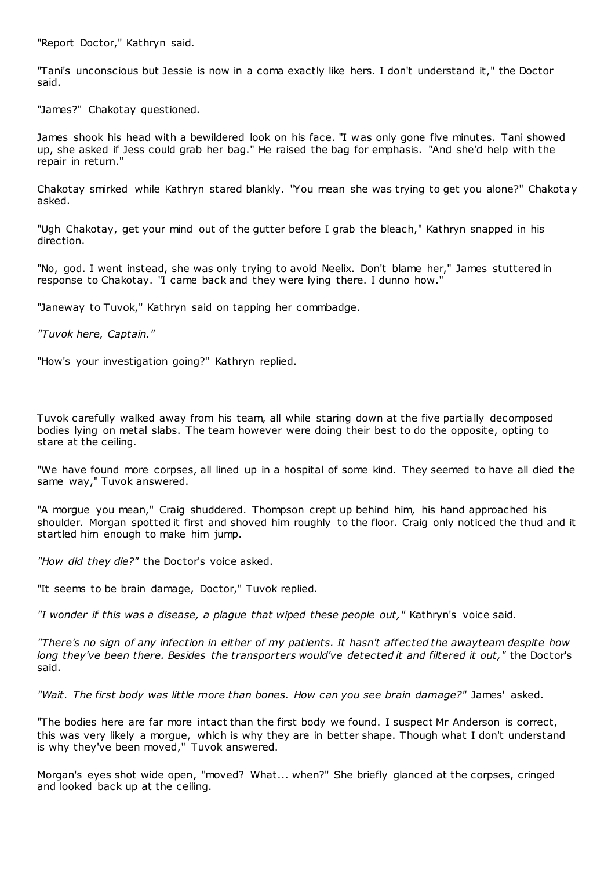"Report Doctor," Kathryn said.

"Tani's unconscious but Jessie is now in a coma exactly like hers. I don't understand it," the Doctor said.

"James?" Chakotay questioned.

James shook his head with a bewildered look on his face. "I was only gone five minutes. Tani showed up, she asked if Jess could grab her bag." He raised the bag for emphasis. "And she'd help with the repair in return."

Chakotay smirked while Kathryn stared blankly. "You mean she was trying to get you alone?" Chakotay asked.

"Ugh Chakotay, get your mind out of the gutter before I grab the bleach," Kathryn snapped in his direction.

"No, god. I went instead, she was only trying to avoid Neelix. Don't blame her," James stuttered in response to Chakotay. "I came back and they were lying there. I dunno how."

"Janeway to Tuvok," Kathryn said on tapping her commbadge.

*"Tuvok here, Captain."*

"How's your investigation going?" Kathryn replied.

Tuvok carefully walked away from his team, all while staring down at the five partially decomposed bodies lying on metal slabs. The team however were doing their best to do the opposite, opting to stare at the ceiling.

"We have found more corpses, all lined up in a hospital of some kind. They seemed to have all died the same way," Tuvok answered.

"A morgue you mean," Craig shuddered. Thompson crept up behind him, his hand approached his shoulder. Morgan spotted it first and shoved him roughly to the floor. Craig only noticed the thud and it startled him enough to make him jump.

*"How did they die?"* the Doctor's voice asked.

"It seems to be brain damage, Doctor," Tuvok replied.

*"I wonder if this was a disease, a plague that wiped these people out,"* Kathryn's voice said.

*"There's no sign of any infection in either of my patients. It hasn't affected the awayteam despite how long they've been there. Besides the transporters would've detected it and filtered it out,"* the Doctor's said.

*"Wait. The first body was little more than bones. How can you see brain damage?"* James' asked.

"The bodies here are far more intact than the first body we found. I suspect Mr Anderson is correct, this was very likely a morgue, which is why they are in better shape. Though what I don't understand is why they've been moved," Tuvok answered.

Morgan's eyes shot wide open, "moved? What... when?" She briefly glanced at the corpses, cringed and looked back up at the ceiling.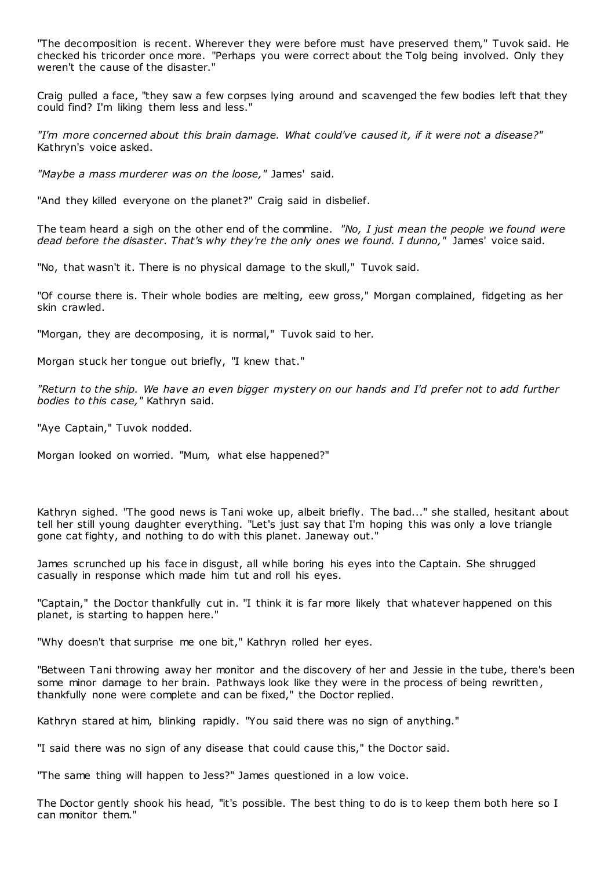"The decomposition is recent. Wherever they were before must have preserved them," Tuvok said. He checked his tricorder once more. "Perhaps you were correct about the Tolg being involved. Only they weren't the cause of the disaster."

Craig pulled a face, "they saw a few corpses lying around and scavenged the few bodies left that they could find? I'm liking them less and less."

*"I'm more concerned about this brain damage. What could've caused it, if it were not a disease?"* Kathryn's voice asked.

*"Maybe a mass murderer was on the loose,"* James' said.

"And they killed everyone on the planet?" Craig said in disbelief.

The team heard a sigh on the other end of the commline. *"No, I just mean the people we found were dead before the disaster. That's why they're the only ones we found. I dunno,"* James' voice said.

"No, that wasn't it. There is no physical damage to the skull," Tuvok said.

"Of course there is. Their whole bodies are melting, eew gross," Morgan complained, fidgeting as her skin crawled.

"Morgan, they are decomposing, it is normal," Tuvok said to her.

Morgan stuck her tongue out briefly, "I knew that."

*"Return to the ship. We have an even bigger mystery on our hands and I'd prefer not to add further bodies to this case,"* Kathryn said.

"Aye Captain," Tuvok nodded.

Morgan looked on worried. "Mum, what else happened?"

Kathryn sighed. "The good news is Tani woke up, albeit briefly. The bad..." she stalled, hesitant about tell her still young daughter everything. "Let's just say that I'm hoping this was only a love triangle gone cat fighty, and nothing to do with this planet. Janeway out."

James scrunched up his face in disgust, all while boring his eyes into the Captain. She shrugged casually in response which made him tut and roll his eyes.

"Captain," the Doctor thankfully cut in. "I think it is far more likely that whatever happened on this planet, is starting to happen here."

"Why doesn't that surprise me one bit," Kathryn rolled her eyes.

"Between Tani throwing away her monitor and the discovery of her and Jessie in the tube, there's been some minor damage to her brain. Pathways look like they were in the process of being rewritten, thankfully none were complete and can be fixed," the Doctor replied.

Kathryn stared at him, blinking rapidly. "You said there was no sign of anything."

"I said there was no sign of any disease that could cause this," the Doctor said.

"The same thing will happen to Jess?" James questioned in a low voice.

The Doctor gently shook his head, "it's possible. The best thing to do is to keep them both here so I can monitor them."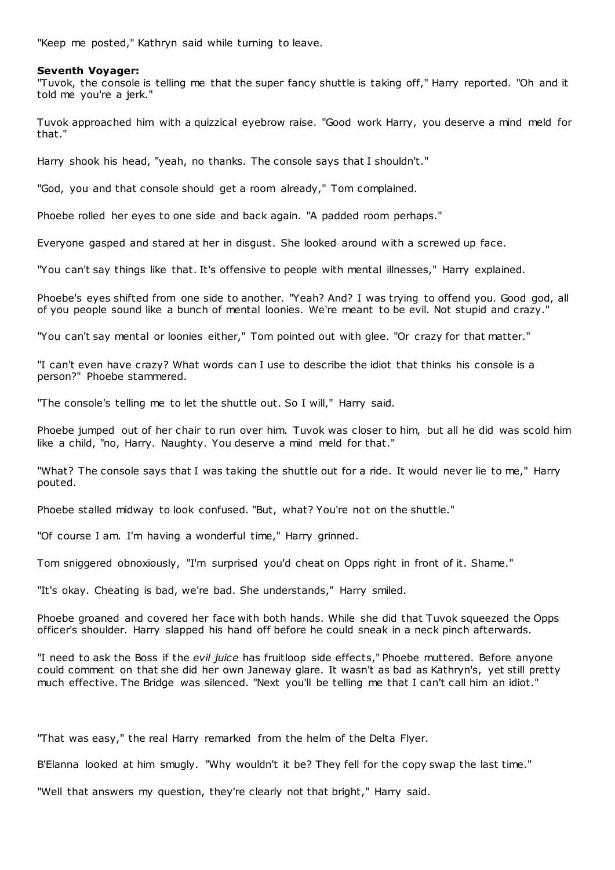"Keep me posted," Kathryn said while turning to leave.

### **Seventh Voyager:**

"Tuvok, the console is telling me that the super fancy shuttle is taking off," Harry reported. "Oh and it told me you're a jerk."

Tuvok approached him with a quizzical eyebrow raise. "Good work Harry, you deserve a mind meld for that."

Harry shook his head, "yeah, no thanks. The console says that I shouldn't."

"God, you and that console should get a room already," Tom complained.

Phoebe rolled her eyes to one side and back again. "A padded room perhaps."

Everyone gasped and stared at her in disgust. She looked around with a screwed up face.

"You can't say things like that. It's offensive to people with mental illnesses," Harry explained.

Phoebe's eyes shifted from one side to another. "Yeah? And? I was trying to offend you. Good god, all of you people sound like a bunch of mental loonies. We're meant to be evil. Not stupid and crazy."

"You can't say mental or loonies either," Tom pointed out with glee. "Or crazy for that matter."

"I can't even have crazy? What words can I use to describe the idiot that thinks his console is a person?" Phoebe stammered.

"The console's telling me to let the shuttle out. So I will," Harry said.

Phoebe jumped out of her chair to run over him. Tuvok was closer to him, but all he did was scold him like a child, "no, Harry. Naughty. You deserve a mind meld for that."

"What? The console says that I was taking the shuttle out for a ride. It would never lie to me," Harry pouted.

Phoebe stalled midway to look confused. "But, what? You're not on the shuttle."

"Of course I am. I'm having a wonderful time," Harry grinned.

Tom sniggered obnoxiously, "I'm surprised you'd cheat on Opps right in front of it. Shame."

"It's okay. Cheating is bad, we're bad. She understands," Harry smiled.

Phoebe groaned and covered her face with both hands. While she did that Tuvok squeezed the Opps officer's shoulder. Harry slapped his hand off before he could sneak in a neck pinch afterwards.

"I need to ask the Boss if the *evil juice* has fruitloop side effects," Phoebe muttered. Before anyone could comment on that she did her own Janeway glare. It wasn't as bad as Kathryn's, yet still pretty much effective. The Bridge was silenced. "Next you'll be telling me that I can't call him an idiot."

"That was easy," the real Harry remarked from the helm of the Delta Flyer.

B'Elanna looked at him smugly. "Why wouldn't it be? They fell for the copy swap the last time."

"Well that answers my question, they're clearly not that bright," Harry said.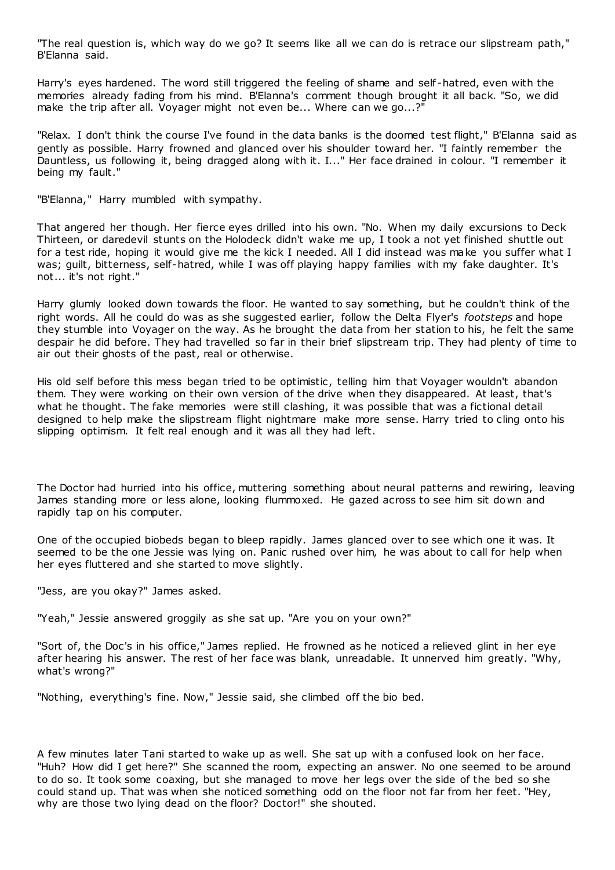"The real question is, which way do we go? It seems like all we can do is retrace our slipstream path," B'Elanna said.

Harry's eyes hardened. The word still triggered the feeling of shame and self -hatred, even with the memories already fading from his mind. B'Elanna's comment though brought it all back. "So, we did make the trip after all. Voyager might not even be... Where can we go...?"

"Relax. I don't think the course I've found in the data banks is the doomed test flight," B'Elanna said as gently as possible. Harry frowned and glanced over his shoulder toward her. "I faintly remember the Dauntless, us following it, being dragged along with it. I..." Her face drained in colour. "I remember it being my fault."

"B'Elanna," Harry mumbled with sympathy.

That angered her though. Her fierce eyes drilled into his own. "No. When my daily excursions to Deck Thirteen, or daredevil stunts on the Holodeck didn't wake me up, I took a not yet finished shuttle out for a test ride, hoping it would give me the kick I needed. All I did instead was make you suffer what I was; guilt, bitterness, self-hatred, while I was off playing happy families with my fake daughter. It's not... it's not right."

Harry glumly looked down towards the floor. He wanted to say something, but he couldn't think of the right words. All he could do was as she suggested earlier, follow the Delta Flyer's *footsteps* and hope they stumble into Voyager on the way. As he brought the data from her station to his, he felt the same despair he did before. They had travelled so far in their brief slipstream trip. They had plenty of time to air out their ghosts of the past, real or otherwise.

His old self before this mess began tried to be optimistic, telling him that Voyager wouldn't abandon them. They were working on their own version of the drive when they disappeared. At least, that's what he thought. The fake memories were still clashing, it was possible that was a fictional detail designed to help make the slipstream flight nightmare make more sense. Harry tried to cling onto his slipping optimism. It felt real enough and it was all they had left.

The Doctor had hurried into his office, muttering something about neural patterns and rewiring, leaving James standing more or less alone, looking flummoxed. He gazed across to see him sit down and rapidly tap on his computer.

One of the occupied biobeds began to bleep rapidly. James glanced over to see which one it was. It seemed to be the one Jessie was lying on. Panic rushed over him, he was about to call for help when her eyes fluttered and she started to move slightly.

"Jess, are you okay?" James asked.

"Yeah," Jessie answered groggily as she sat up. "Are you on your own?"

"Sort of, the Doc's in his office," James replied. He frowned as he noticed a relieved glint in her eye after hearing his answer. The rest of her face was blank, unreadable. It unnerved him greatly. "Why, what's wrong?"

"Nothing, everything's fine. Now," Jessie said, she climbed off the bio bed.

A few minutes later Tani started to wake up as well. She sat up with a confused look on her face. "Huh? How did I get here?" She scanned the room, expecting an answer. No one seemed to be around to do so. It took some coaxing, but she managed to move her legs over the side of the bed so she could stand up. That was when she noticed something odd on the floor not far from her feet. "Hey, why are those two lying dead on the floor? Doctor!" she shouted.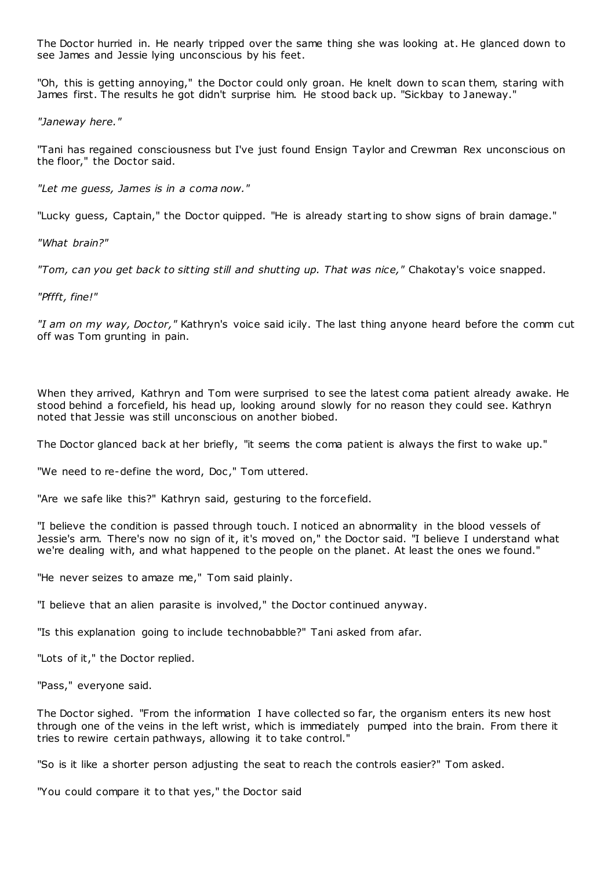The Doctor hurried in. He nearly tripped over the same thing she was looking at. He glanced down to see James and Jessie lying unconscious by his feet.

"Oh, this is getting annoying," the Doctor could only groan. He knelt down to scan them, staring with James first. The results he got didn't surprise him. He stood back up. "Sickbay to Janeway."

*"Janeway here."*

"Tani has regained consciousness but I've just found Ensign Taylor and Crewman Rex unconscious on the floor," the Doctor said.

*"Let me guess, James is in a coma now."*

"Lucky guess, Captain," the Doctor quipped. "He is already starting to show signs of brain damage."

*"What brain?"*

*"Tom, can you get back to sitting still and shutting up. That was nice,"* Chakotay's voice snapped.

*"Pffft, fine!"*

*"I am on my way, Doctor,"* Kathryn's voice said icily. The last thing anyone heard before the comm cut off was Tom grunting in pain.

When they arrived, Kathryn and Tom were surprised to see the latest coma patient already awake. He stood behind a forcefield, his head up, looking around slowly for no reason they could see. Kathryn noted that Jessie was still unconscious on another biobed.

The Doctor glanced back at her briefly, "it seems the coma patient is always the first to wake up."

"We need to re-define the word, Doc ," Tom uttered.

"Are we safe like this?" Kathryn said, gesturing to the forcefield.

"I believe the condition is passed through touch. I noticed an abnormality in the blood vessels of Jessie's arm. There's now no sign of it, it's moved on," the Doctor said. "I believe I understand what we're dealing with, and what happened to the people on the planet. At least the ones we found."

"He never seizes to amaze me," Tom said plainly.

"I believe that an alien parasite is involved," the Doctor continued anyway.

"Is this explanation going to include technobabble?" Tani asked from afar.

"Lots of it," the Doctor replied.

"Pass," everyone said.

The Doctor sighed. "From the information I have collected so far, the organism enters its new host through one of the veins in the left wrist, which is immediately pumped into the brain. From there it tries to rewire certain pathways, allowing it to take control."

"So is it like a shorter person adjusting the seat to reach the controls easier?" Tom asked.

"You could compare it to that yes," the Doctor said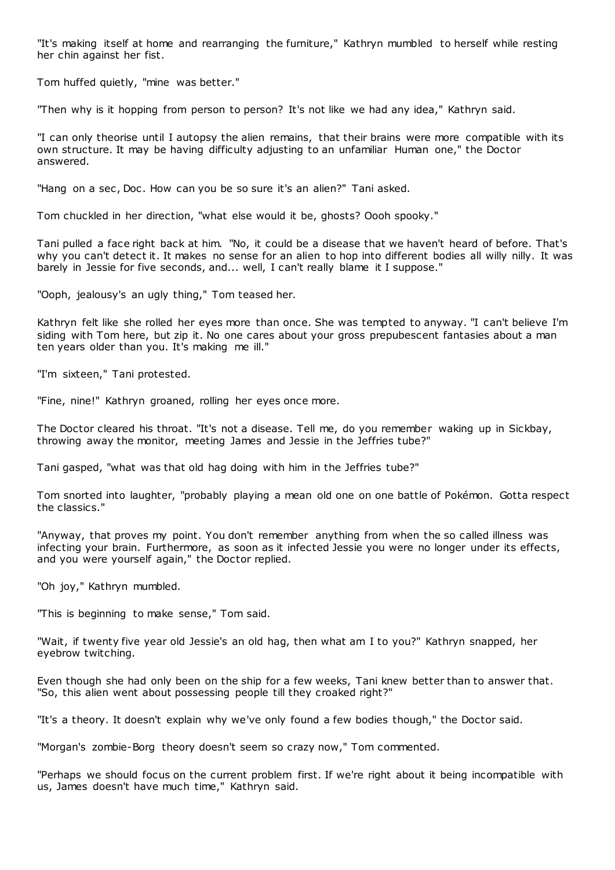"It's making itself at home and rearranging the furniture," Kathryn mumbled to herself while resting her chin against her fist.

Tom huffed quietly, "mine was better."

"Then why is it hopping from person to person? It's not like we had any idea," Kathryn said.

"I can only theorise until I autopsy the alien remains, that their brains were more compatible with its own structure. It may be having difficulty adjusting to an unfamiliar Human one," the Doctor answered.

"Hang on a sec, Doc. How can you be so sure it's an alien?" Tani asked.

Tom chuckled in her direction, "what else would it be, ghosts? Oooh spooky."

Tani pulled a face right back at him. "No, it could be a disease that we haven't heard of before. That's why you can't detect it. It makes no sense for an alien to hop into different bodies all willy nilly. It was barely in Jessie for five seconds, and... well, I can't really blame it I suppose."

"Ooph, jealousy's an ugly thing," Tom teased her.

Kathryn felt like she rolled her eyes more than once. She was tempted to anyway. "I can't believe I'm siding with Tom here, but zip it. No one cares about your gross prepubescent fantasies about a man ten years older than you. It's making me ill."

"I'm sixteen," Tani protested.

"Fine, nine!" Kathryn groaned, rolling her eyes once more.

The Doctor cleared his throat. "It's not a disease. Tell me, do you remember waking up in Sickbay, throwing away the monitor, meeting James and Jessie in the Jeffries tube?"

Tani gasped, "what was that old hag doing with him in the Jeffries tube?"

Tom snorted into laughter, "probably playing a mean old one on one battle of Pokémon. Gotta respect the classics."

"Anyway, that proves my point. You don't remember anything from when the so called illness was infecting your brain. Furthermore, as soon as it infected Jessie you were no longer under its effects, and you were yourself again," the Doctor replied.

"Oh joy," Kathryn mumbled.

"This is beginning to make sense," Tom said.

"Wait, if twenty five year old Jessie's an old hag, then what am I to you?" Kathryn snapped, her eyebrow twitching.

Even though she had only been on the ship for a few weeks, Tani knew better than to answer that. "So, this alien went about possessing people till they croaked right?"

"It's a theory. It doesn't explain why we've only found a few bodies though," the Doctor said.

"Morgan's zombie-Borg theory doesn't seem so crazy now," Tom commented.

"Perhaps we should focus on the current problem first. If we're right about it being incompatible with us, James doesn't have much time," Kathryn said.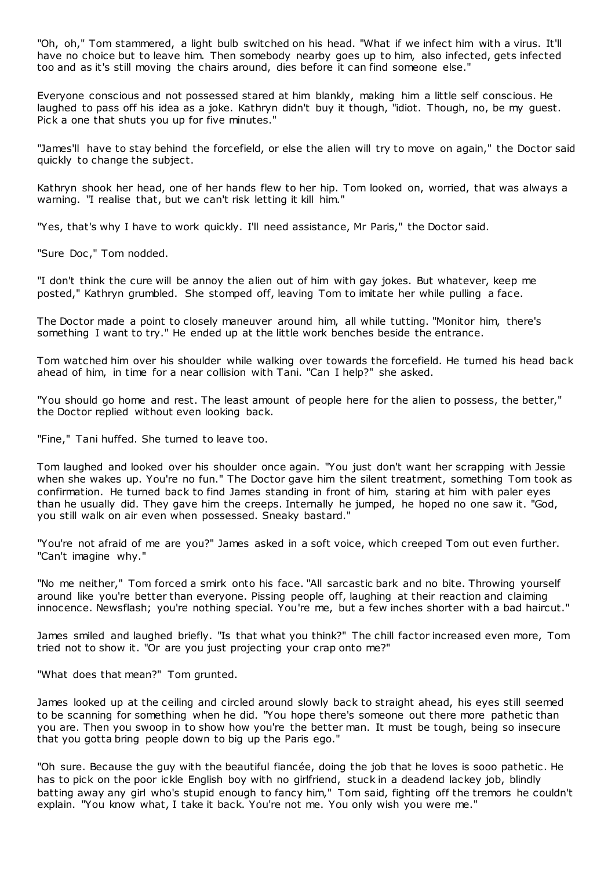"Oh, oh," Tom stammered, a light bulb switched on his head. "What if we infect him with a virus. It'll have no choice but to leave him. Then somebody nearby goes up to him, also infected, gets infected too and as it's still moving the chairs around, dies before it can find someone else."

Everyone conscious and not possessed stared at him blankly, making him a little self conscious. He laughed to pass off his idea as a joke. Kathryn didn't buy it though, "idiot. Though, no, be my guest. Pick a one that shuts you up for five minutes."

"James'll have to stay behind the forcefield, or else the alien will try to move on again," the Doctor said quickly to change the subject.

Kathryn shook her head, one of her hands flew to her hip. Tom looked on, worried, that was always a warning. "I realise that, but we can't risk letting it kill him."

"Yes, that's why I have to work quickly. I'll need assistance, Mr Paris," the Doctor said.

"Sure Doc," Tom nodded.

"I don't think the cure will be annoy the alien out of him with gay jokes. But whatever, keep me posted," Kathryn grumbled. She stomped off, leaving Tom to imitate her while pulling a face.

The Doctor made a point to closely maneuver around him, all while tutting. "Monitor him, there's something I want to try." He ended up at the little work benches beside the entrance.

Tom watched him over his shoulder while walking over towards the forcefield. He turned his head back ahead of him, in time for a near collision with Tani. "Can I help?" she asked.

"You should go home and rest. The least amount of people here for the alien to possess, the better," the Doctor replied without even looking back.

"Fine," Tani huffed. She turned to leave too.

Tom laughed and looked over his shoulder once again. "You just don't want her scrapping with Jessie when she wakes up. You're no fun." The Doctor gave him the silent treatment, something Tom took as confirmation. He turned back to find James standing in front of him, staring at him with paler eyes than he usually did. They gave him the creeps. Internally he jumped, he hoped no one saw it. "God, you still walk on air even when possessed. Sneaky bastard."

"You're not afraid of me are you?" James asked in a soft voice, which creeped Tom out even further. "Can't imagine why."

"No me neither," Tom forced a smirk onto his face. "All sarcastic bark and no bite. Throwing yourself around like you're better than everyone. Pissing people off, laughing at their reaction and claiming innocence. Newsflash; you're nothing special. You're me, but a few inches shorter with a bad haircut."

James smiled and laughed briefly. "Is that what you think?" The chill factor increased even more, Tom tried not to show it. "Or are you just projecting your crap onto me?"

"What does that mean?" Tom grunted.

James looked up at the ceiling and circled around slowly back to straight ahead, his eyes still seemed to be scanning for something when he did. "You hope there's someone out there more pathetic than you are. Then you swoop in to show how you're the better man. It must be tough, being so insecure that you gotta bring people down to big up the Paris ego."

"Oh sure. Because the guy with the beautiful fiancée, doing the job that he loves is sooo pathetic . He has to pick on the poor ickle English boy with no girlfriend, stuck in a deadend lackey job, blindly batting away any girl who's stupid enough to fancy him," Tom said, fighting off the tremors he couldn't explain. "You know what, I take it back. You're not me. You only wish you were me."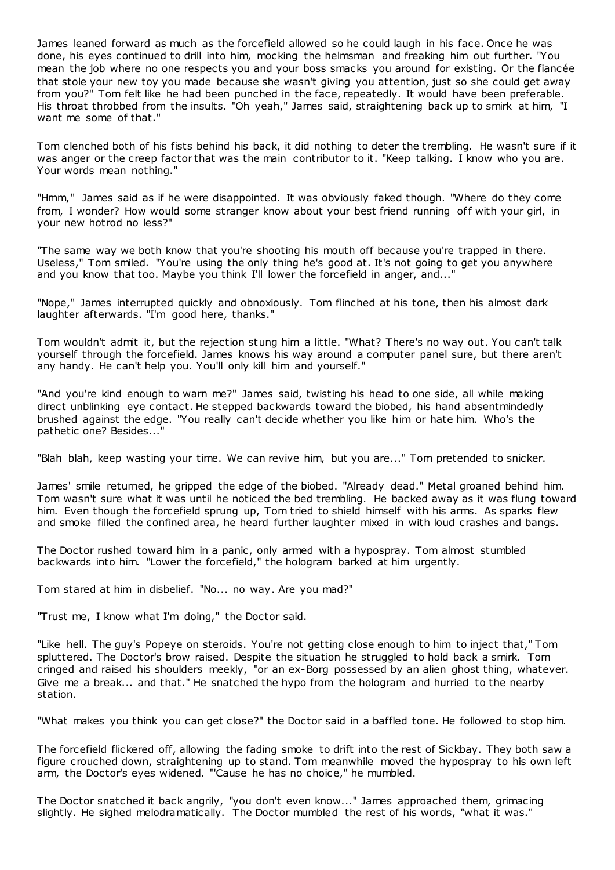James leaned forward as much as the forcefield allowed so he could laugh in his face. Once he was done, his eyes continued to drill into him, mocking the helmsman and freaking him out further. "You mean the job where no one respects you and your boss smacks you around for existing. Or the fiancée that stole your new toy you made because she wasn't giving you attention, just so she could get away from you?" Tom felt like he had been punched in the face, repeatedly. It would have been preferable. His throat throbbed from the insults. "Oh yeah," James said, straightening back up to smirk at him, "I want me some of that."

Tom clenched both of his fists behind his back, it did nothing to deter the trembling. He wasn't sure if it was anger or the creep factor that was the main contributor to it. "Keep talking. I know who you are. Your words mean nothing."

"Hmm," James said as if he were disappointed. It was obviously faked though. "Where do they come from, I wonder? How would some stranger know about your best friend running off with your girl, in your new hotrod no less?"

"The same way we both know that you're shooting his mouth off because you're trapped in there. Useless," Tom smiled. "You're using the only thing he's good at. It's not going to get you anywhere and you know that too. Maybe you think I'll lower the forcefield in anger, and..."

"Nope," James interrupted quickly and obnoxiously. Tom flinched at his tone, then his almost dark laughter afterwards. "I'm good here, thanks."

Tom wouldn't admit it, but the rejection stung him a little. "What? There's no way out. You can't talk yourself through the forcefield. James knows his way around a computer panel sure, but there aren't any handy. He can't help you. You'll only kill him and yourself."

"And you're kind enough to warn me?" James said, twisting his head to one side, all while making direct unblinking eye contact. He stepped backwards toward the biobed, his hand absentmindedly brushed against the edge. "You really can't decide whether you like him or hate him. Who's the pathetic one? Besides..."

"Blah blah, keep wasting your time. We can revive him, but you are..." Tom pretended to snicker.

James' smile returned, he gripped the edge of the biobed. "Already dead." Metal groaned behind him. Tom wasn't sure what it was until he noticed the bed trembling. He backed away as it was flung toward him. Even though the forcefield sprung up, Tom tried to shield himself with his arms. As sparks flew and smoke filled the confined area, he heard further laughter mixed in with loud crashes and bangs.

The Doctor rushed toward him in a panic, only armed with a hypospray. Tom almost stumbled backwards into him. "Lower the forcefield," the hologram barked at him urgently.

Tom stared at him in disbelief. "No... no way. Are you mad?"

"Trust me, I know what I'm doing," the Doctor said.

"Like hell. The guy's Popeye on steroids. You're not getting close enough to him to inject that," Tom spluttered. The Doctor's brow raised. Despite the situation he struggled to hold back a smirk. Tom cringed and raised his shoulders meekly, "or an ex-Borg possessed by an alien ghost thing, whatever. Give me a break... and that." He snatched the hypo from the hologram and hurried to the nearby station.

"What makes you think you can get close?" the Doctor said in a baffled tone. He followed to stop him.

The forcefield flickered off, allowing the fading smoke to drift into the rest of Sickbay. They both saw a figure crouched down, straightening up to stand. Tom meanwhile moved the hypospray to his own left arm, the Doctor's eyes widened. "'Cause he has no choice," he mumbled.

The Doctor snatched it back angrily, "you don't even know..." James approached them, grimacing slightly. He sighed melodramatically. The Doctor mumbled the rest of his words, "what it was."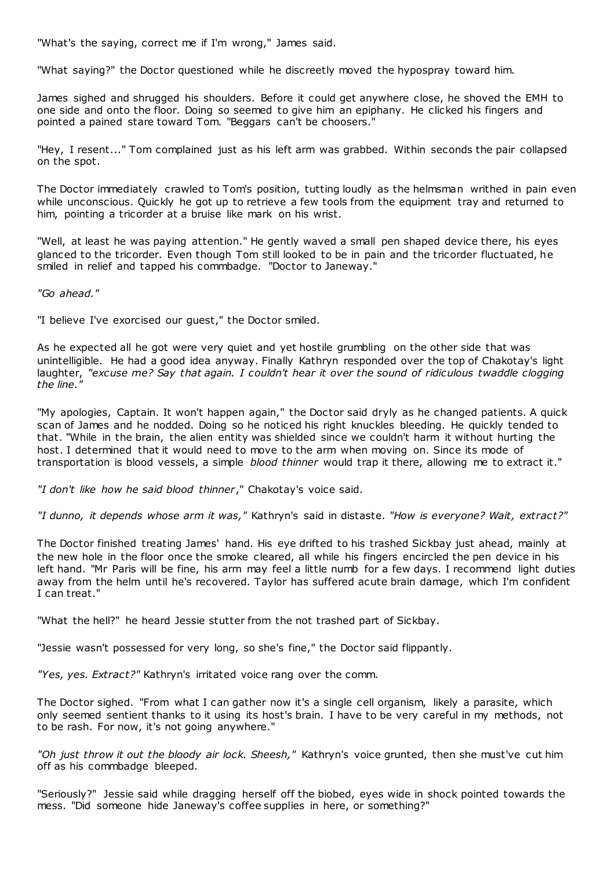"What's the saying, correct me if I'm wrong," James said.

"What saying?" the Doctor questioned while he discreetly moved the hypospray toward him.

James sighed and shrugged his shoulders. Before it could get anywhere close, he shoved the EMH to one side and onto the floor. Doing so seemed to give him an epiphany. He clicked his fingers and pointed a pained stare toward Tom. "Beggars can't be choosers."

"Hey, I resent..." Tom complained just as his left arm was grabbed. Within seconds the pair collapsed on the spot.

The Doctor immediately crawled to Tom's position, tutting loudly as the helmsman writhed in pain even while unconscious. Quickly he got up to retrieve a few tools from the equipment tray and returned to him, pointing a tricorder at a bruise like mark on his wrist.

"Well, at least he was paying attention." He gently waved a small pen shaped device there, his eyes glanced to the tricorder. Even though Tom still looked to be in pain and the tricorder fluctuated, he smiled in relief and tapped his commbadge. "Doctor to Janeway."

*"Go ahead."*

"I believe I've exorcised our guest," the Doctor smiled.

As he expected all he got were very quiet and yet hostile grumbling on the other side that was unintelligible. He had a good idea anyway. Finally Kathryn responded over the top of Chakotay's light laughter, "excuse me? Say that again. I couldn't hear it over the sound of ridiculous twaddle clogging *the line."*

"My apologies, Captain. It won't happen again," the Doctor said dryly as he changed patients. A quick scan of James and he nodded. Doing so he noticed his right knuckles bleeding. He quickly tended to that. "While in the brain, the alien entity was shielded since we couldn't harm it without hurting the host. I determined that it would need to move to the arm when moving on. Since its mode of transportation is blood vessels, a simple *blood thinner* would trap it there, allowing me to extract it."

*"I don't like how he said blood thinner*," Chakotay's voice said.

*"I dunno, it depends whose arm it was,"* Kathryn's said in distaste*. "How is everyone? Wait, extract?"*

The Doctor finished treating James' hand. His eye drifted to his trashed Sickbay just ahead, mainly at the new hole in the floor once the smoke cleared, all while his fingers encircled the pen device in his left hand. "Mr Paris will be fine, his arm may feel a little numb for a few days. I recommend light duties away from the helm until he's recovered. Taylor has suffered acute brain damage, which I'm confident I can treat."

"What the hell?" he heard Jessie stutter from the not trashed part of Sickbay.

"Jessie wasn't possessed for very long, so she's fine," the Doctor said flippantly.

*"Yes, yes. Extract?"* Kathryn's irritated voice rang over the comm.

The Doctor sighed. "From what I can gather now it's a single cell organism, likely a parasite, which only seemed sentient thanks to it using its host's brain. I have to be very careful in my methods, not to be rash. For now, it's not going anywhere."

*"Oh just throw it out the bloody air lock. Sheesh,"* Kathryn's voice grunted, then she must've cut him off as his commbadge bleeped.

"Seriously?" Jessie said while dragging herself off the biobed, eyes wide in shock pointed towards the mess. "Did someone hide Janeway's coffee supplies in here, or something?"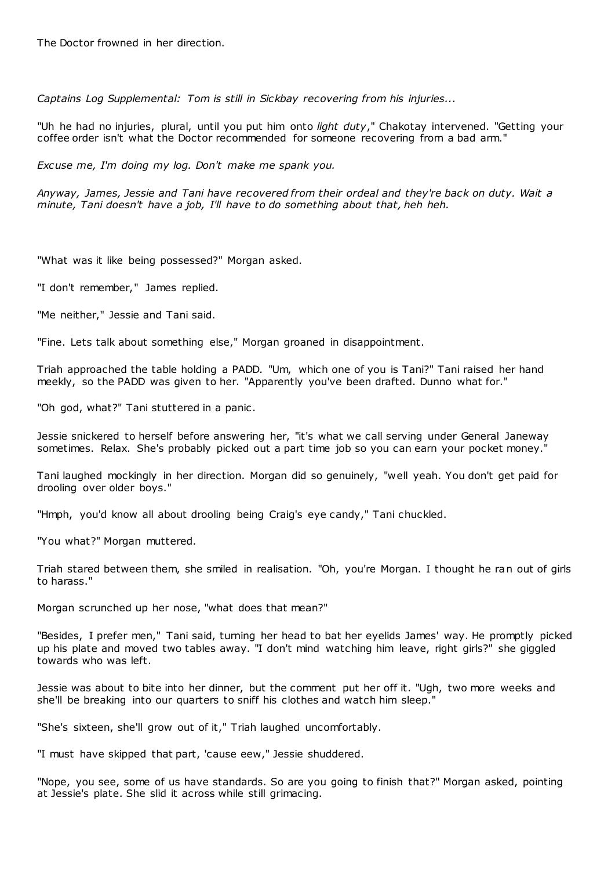The Doctor frowned in her direction.

*Captains Log Supplemental: Tom is still in Sickbay recovering from his injuries...*

"Uh he had no injuries, plural, until you put him onto *light duty*," Chakotay intervened. "Getting your coffee order isn't what the Doctor recommended for someone recovering from a bad arm."

*Excuse me, I'm doing my log. Don't make me spank you.*

*Anyway, James, Jessie and Tani have recovered from their ordeal and they're back on duty. Wait a minute, Tani doesn't have a job, I'll have to do something about that, heh heh.*

"What was it like being possessed?" Morgan asked.

"I don't remember," James replied.

"Me neither," Jessie and Tani said.

"Fine. Lets talk about something else," Morgan groaned in disappointment.

Triah approached the table holding a PADD. "Um, which one of you is Tani?" Tani raised her hand meekly, so the PADD was given to her. "Apparently you've been drafted. Dunno what for."

"Oh god, what?" Tani stuttered in a panic.

Jessie snickered to herself before answering her, "it's what we call serving under General Janeway sometimes. Relax. She's probably picked out a part time job so you can earn your pocket money."

Tani laughed mockingly in her direction. Morgan did so genuinely, "well yeah. You don't get paid for drooling over older boys."

"Hmph, you'd know all about drooling being Craig's eye candy," Tani chuckled.

"You what?" Morgan muttered.

Triah stared between them, she smiled in realisation. "Oh, you're Morgan. I thought he ran out of girls to harass."

Morgan scrunched up her nose, "what does that mean?"

"Besides, I prefer men," Tani said, turning her head to bat her eyelids James' way. He promptly picked up his plate and moved two tables away. "I don't mind watching him leave, right girls?" she giggled towards who was left.

Jessie was about to bite into her dinner, but the comment put her off it. "Ugh, two more weeks and she'll be breaking into our quarters to sniff his clothes and watch him sleep."

"She's sixteen, she'll grow out of it," Triah laughed uncomfortably.

"I must have skipped that part, 'cause eew," Jessie shuddered.

"Nope, you see, some of us have standards. So are you going to finish that?" Morgan asked, pointing at Jessie's plate. She slid it across while still grimacing.